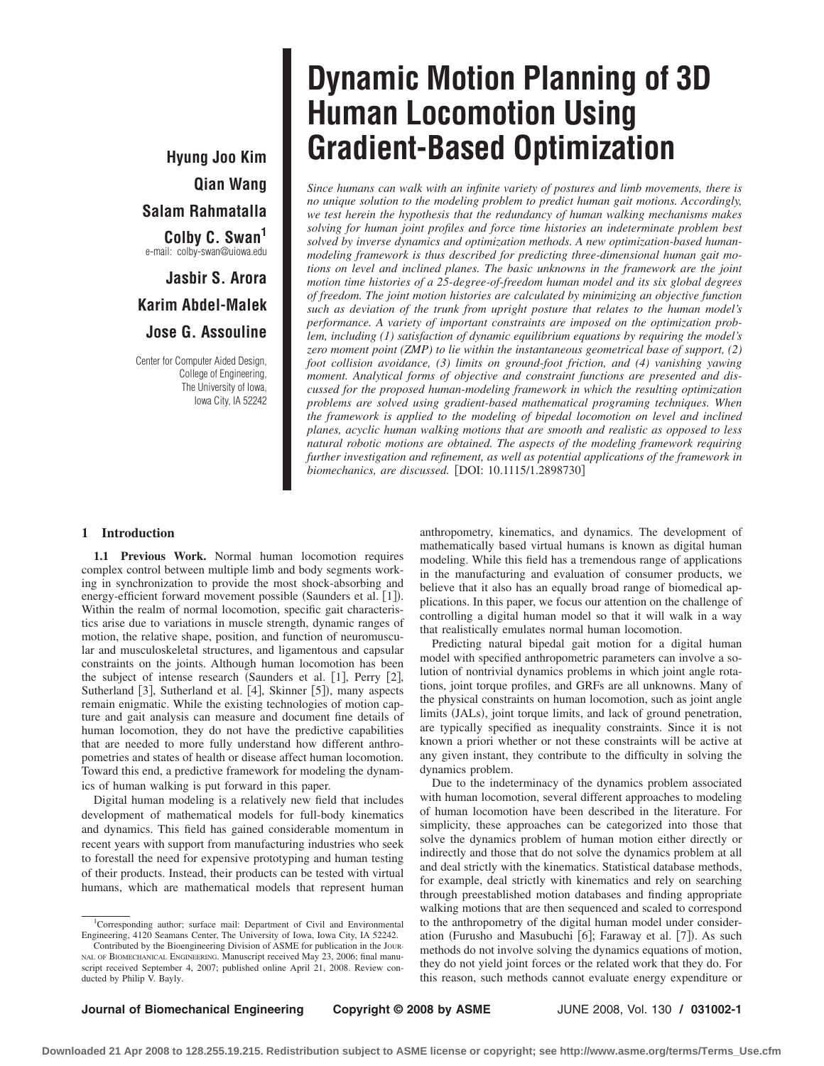**Hyung Joo Kim Qian Wang Salam Rahmatalla Colby C. Swan<sup>1</sup>** e-mail: colby-swan@uiowa.edu **Jasbir S. Arora Karim Abdel-Malek**

Center for Computer Aided Design, College of Engineering, The University of Iowa, Iowa City, IA 52242

**Jose G. Assouline**

# **Dynamic Motion Planning of 3D Human Locomotion Using Gradient-Based Optimization**

*Since humans can walk with an infinite variety of postures and limb movements, there is no unique solution to the modeling problem to predict human gait motions. Accordingly, we test herein the hypothesis that the redundancy of human walking mechanisms makes solving for human joint profiles and force time histories an indeterminate problem best solved by inverse dynamics and optimization methods. A new optimization-based humanmodeling framework is thus described for predicting three-dimensional human gait motions on level and inclined planes. The basic unknowns in the framework are the joint motion time histories of a 25-degree-of-freedom human model and its six global degrees of freedom. The joint motion histories are calculated by minimizing an objective function such as deviation of the trunk from upright posture that relates to the human model's performance. A variety of important constraints are imposed on the optimization problem, including (1) satisfaction of dynamic equilibrium equations by requiring the model's zero moment point (ZMP) to lie within the instantaneous geometrical base of support, (2) foot collision avoidance, (3) limits on ground-foot friction, and (4) vanishing yawing moment. Analytical forms of objective and constraint functions are presented and discussed for the proposed human-modeling framework in which the resulting optimization problems are solved using gradient-based mathematical programing techniques. When the framework is applied to the modeling of bipedal locomotion on level and inclined planes, acyclic human walking motions that are smooth and realistic as opposed to less natural robotic motions are obtained. The aspects of the modeling framework requiring further investigation and refinement, as well as potential applications of the framework in biomechanics, are discussed.* [DOI: 10.1115/1.2898730]

# **1 Introduction**

**1.1 Previous Work.** Normal human locomotion requires complex control between multiple limb and body segments working in synchronization to provide the most shock-absorbing and energy-efficient forward movement possible (Saunders et al. [1]). Within the realm of normal locomotion, specific gait characteristics arise due to variations in muscle strength, dynamic ranges of motion, the relative shape, position, and function of neuromuscular and musculoskeletal structures, and ligamentous and capsular constraints on the joints. Although human locomotion has been the subject of intense research (Saunders et al. [1], Perry [2], Sutherland [3], Sutherland et al. [4], Skinner [5]), many aspects remain enigmatic. While the existing technologies of motion capture and gait analysis can measure and document fine details of human locomotion, they do not have the predictive capabilities that are needed to more fully understand how different anthropometries and states of health or disease affect human locomotion. Toward this end, a predictive framework for modeling the dynamics of human walking is put forward in this paper.

Digital human modeling is a relatively new field that includes development of mathematical models for full-body kinematics and dynamics. This field has gained considerable momentum in recent years with support from manufacturing industries who seek to forestall the need for expensive prototyping and human testing of their products. Instead, their products can be tested with virtual humans, which are mathematical models that represent human

<sup>1</sup>Corresponding author; surface mail: Department of Civil and Environmental Engineering, 4120 Seamans Center, The University of Iowa, Iowa City, IA 52242.

anthropometry, kinematics, and dynamics. The development of mathematically based virtual humans is known as digital human modeling. While this field has a tremendous range of applications in the manufacturing and evaluation of consumer products, we believe that it also has an equally broad range of biomedical applications. In this paper, we focus our attention on the challenge of controlling a digital human model so that it will walk in a way that realistically emulates normal human locomotion.

Predicting natural bipedal gait motion for a digital human model with specified anthropometric parameters can involve a solution of nontrivial dynamics problems in which joint angle rotations, joint torque profiles, and GRFs are all unknowns. Many of the physical constraints on human locomotion, such as joint angle limits (JALs), joint torque limits, and lack of ground penetration, are typically specified as inequality constraints. Since it is not known a priori whether or not these constraints will be active at any given instant, they contribute to the difficulty in solving the dynamics problem.

Due to the indeterminacy of the dynamics problem associated with human locomotion, several different approaches to modeling of human locomotion have been described in the literature. For simplicity, these approaches can be categorized into those that solve the dynamics problem of human motion either directly or indirectly and those that do not solve the dynamics problem at all and deal strictly with the kinematics. Statistical database methods, for example, deal strictly with kinematics and rely on searching through preestablished motion databases and finding appropriate walking motions that are then sequenced and scaled to correspond to the anthropometry of the digital human model under consideration (Furusho and Masubuchi [6]; Faraway et al. [7]). As such methods do not involve solving the dynamics equations of motion, they do not yield joint forces or the related work that they do. For this reason, such methods cannot evaluate energy expenditure or

Contributed by the Bioengineering Division of ASME for publication in the JOUR-NAL OF BIOMECHANICAL ENGINEERING. Manuscript received May 23, 2006; final manuscript received September 4, 2007; published online April 21, 2008. Review con-ducted by Philip V. Bayly.

**Downloaded 21 Apr 2008 to 128.255.19.215. Redistribution subject to ASME license or copyright; see http://www.asme.org/terms/Terms\_Use.cfm**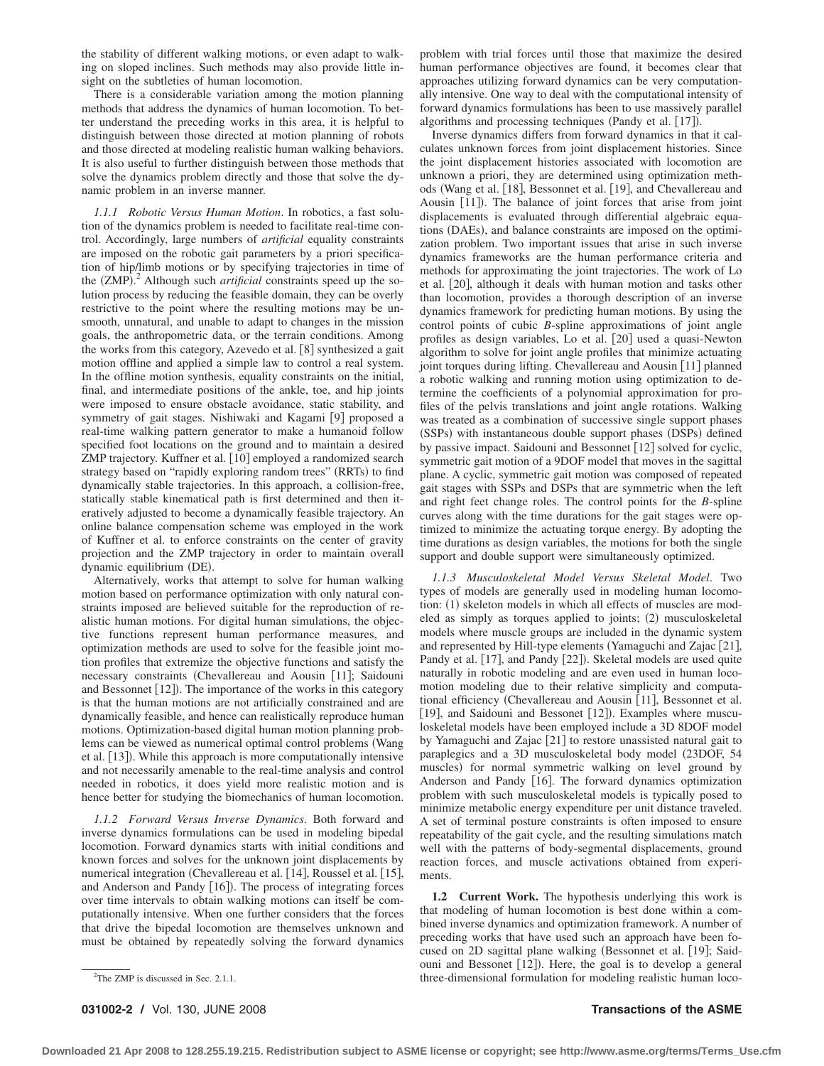the stability of different walking motions, or even adapt to walking on sloped inclines. Such methods may also provide little insight on the subtleties of human locomotion.

There is a considerable variation among the motion planning methods that address the dynamics of human locomotion. To better understand the preceding works in this area, it is helpful to distinguish between those directed at motion planning of robots and those directed at modeling realistic human walking behaviors. It is also useful to further distinguish between those methods that solve the dynamics problem directly and those that solve the dynamic problem in an inverse manner.

*1.1.1 Robotic Versus Human Motion*. In robotics, a fast solution of the dynamics problem is needed to facilitate real-time control. Accordingly, large numbers of *artificial* equality constraints are imposed on the robotic gait parameters by a priori specification of hip/limb motions or by specifying trajectories in time of the (ZMP).<sup>2</sup> Although such *artificial* constraints speed up the solution process by reducing the feasible domain, they can be overly restrictive to the point where the resulting motions may be unsmooth, unnatural, and unable to adapt to changes in the mission goals, the anthropometric data, or the terrain conditions. Among the works from this category, Azevedo et al. [8] synthesized a gait motion offline and applied a simple law to control a real system. In the offline motion synthesis, equality constraints on the initial, final, and intermediate positions of the ankle, toe, and hip joints were imposed to ensure obstacle avoidance, static stability, and symmetry of gait stages. Nishiwaki and Kagami [9] proposed a real-time walking pattern generator to make a humanoid follow specified foot locations on the ground and to maintain a desired ZMP trajectory. Kuffner et al. [10] employed a randomized search strategy based on "rapidly exploring random trees" (RRTs) to find dynamically stable trajectories. In this approach, a collision-free, statically stable kinematical path is first determined and then iteratively adjusted to become a dynamically feasible trajectory. An online balance compensation scheme was employed in the work of Kuffner et al. to enforce constraints on the center of gravity projection and the ZMP trajectory in order to maintain overall dynamic equilibrium (DE).

Alternatively, works that attempt to solve for human walking motion based on performance optimization with only natural constraints imposed are believed suitable for the reproduction of realistic human motions. For digital human simulations, the objective functions represent human performance measures, and optimization methods are used to solve for the feasible joint motion profiles that extremize the objective functions and satisfy the necessary constraints (Chevallereau and Aousin [11]; Saidouni and Bessonnet [12]). The importance of the works in this category is that the human motions are not artificially constrained and are dynamically feasible, and hence can realistically reproduce human motions. Optimization-based digital human motion planning problems can be viewed as numerical optimal control problems Wang et al. [13]). While this approach is more computationally intensive and not necessarily amenable to the real-time analysis and control needed in robotics, it does yield more realistic motion and is hence better for studying the biomechanics of human locomotion.

*1.1.2 Forward Versus Inverse Dynamics*. Both forward and inverse dynamics formulations can be used in modeling bipedal locomotion. Forward dynamics starts with initial conditions and known forces and solves for the unknown joint displacements by numerical integration (Chevallereau et al. [14], Roussel et al. [15], and Anderson and Pandy [16]). The process of integrating forces over time intervals to obtain walking motions can itself be computationally intensive. When one further considers that the forces that drive the bipedal locomotion are themselves unknown and must be obtained by repeatedly solving the forward dynamics

problem with trial forces until those that maximize the desired human performance objectives are found, it becomes clear that approaches utilizing forward dynamics can be very computationally intensive. One way to deal with the computational intensity of forward dynamics formulations has been to use massively parallel algorithms and processing techniques (Pandy et al. [17]).

Inverse dynamics differs from forward dynamics in that it calculates unknown forces from joint displacement histories. Since the joint displacement histories associated with locomotion are unknown a priori, they are determined using optimization methods (Wang et al. [18], Bessonnet et al. [19], and Chevallereau and Aousin [11]). The balance of joint forces that arise from joint displacements is evaluated through differential algebraic equations (DAEs), and balance constraints are imposed on the optimization problem. Two important issues that arise in such inverse dynamics frameworks are the human performance criteria and methods for approximating the joint trajectories. The work of Lo et al. [20], although it deals with human motion and tasks other than locomotion, provides a thorough description of an inverse dynamics framework for predicting human motions. By using the control points of cubic *B*-spline approximations of joint angle profiles as design variables, Lo et al. [20] used a quasi-Newton algorithm to solve for joint angle profiles that minimize actuating joint torques during lifting. Chevallereau and Aousin [11] planned a robotic walking and running motion using optimization to determine the coefficients of a polynomial approximation for profiles of the pelvis translations and joint angle rotations. Walking was treated as a combination of successive single support phases (SSPs) with instantaneous double support phases (DSPs) defined by passive impact. Saidouni and Bessonnet [12] solved for cyclic, symmetric gait motion of a 9DOF model that moves in the sagittal plane. A cyclic, symmetric gait motion was composed of repeated gait stages with SSPs and DSPs that are symmetric when the left and right feet change roles. The control points for the *B*-spline curves along with the time durations for the gait stages were optimized to minimize the actuating torque energy. By adopting the time durations as design variables, the motions for both the single support and double support were simultaneously optimized.

*1.1.3 Musculoskeletal Model Versus Skeletal Model*. Two types of models are generally used in modeling human locomotion: (1) skeleton models in which all effects of muscles are modeled as simply as torques applied to joints; (2) musculoskeletal models where muscle groups are included in the dynamic system and represented by Hill-type elements (Yamaguchi and Zajac [21], Pandy et al. [17], and Pandy [22]). Skeletal models are used quite naturally in robotic modeling and are even used in human locomotion modeling due to their relative simplicity and computational efficiency (Chevallereau and Aousin [11], Bessonnet et al. [19], and Saidouni and Bessonet [12]). Examples where musculoskeletal models have been employed include a 3D 8DOF model by Yamaguchi and Zajac [21] to restore unassisted natural gait to paraplegics and a 3D musculoskeletal body model 23DOF, 54 muscles) for normal symmetric walking on level ground by Anderson and Pandy [16]. The forward dynamics optimization problem with such musculoskeletal models is typically posed to minimize metabolic energy expenditure per unit distance traveled. A set of terminal posture constraints is often imposed to ensure repeatability of the gait cycle, and the resulting simulations match well with the patterns of body-segmental displacements, ground reaction forces, and muscle activations obtained from experiments.

**1.2 Current Work.** The hypothesis underlying this work is that modeling of human locomotion is best done within a combined inverse dynamics and optimization framework. A number of preceding works that have used such an approach have been focused on 2D sagittal plane walking (Bessonnet et al. [19]; Saidouni and Bessonet [12]). Here, the goal is to develop a general three-dimensional formulation for modeling realistic human loco- <sup>2</sup>

**031002-2 /** Vol. 130, JUNE 2008 **Transactions of the ASME**

 $2$ The ZMP is discussed in Sec. 2.1.1.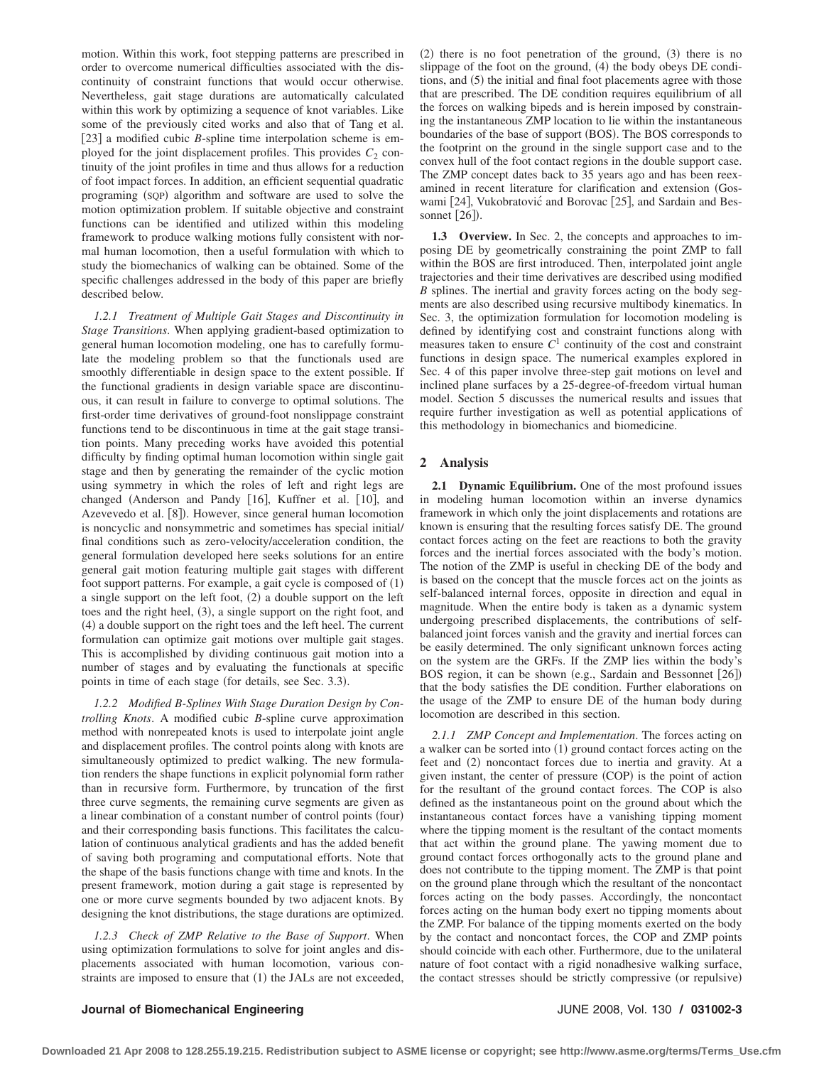motion. Within this work, foot stepping patterns are prescribed in order to overcome numerical difficulties associated with the discontinuity of constraint functions that would occur otherwise. Nevertheless, gait stage durations are automatically calculated within this work by optimizing a sequence of knot variables. Like some of the previously cited works and also that of Tang et al. [23] a modified cubic *B*-spline time interpolation scheme is employed for the joint displacement profiles. This provides  $C_2$  continuity of the joint profiles in time and thus allows for a reduction of foot impact forces. In addition, an efficient sequential quadratic programing (SQP) algorithm and software are used to solve the motion optimization problem. If suitable objective and constraint functions can be identified and utilized within this modeling framework to produce walking motions fully consistent with normal human locomotion, then a useful formulation with which to study the biomechanics of walking can be obtained. Some of the specific challenges addressed in the body of this paper are briefly described below.

*1.2.1 Treatment of Multiple Gait Stages and Discontinuity in Stage Transitions*. When applying gradient-based optimization to general human locomotion modeling, one has to carefully formulate the modeling problem so that the functionals used are smoothly differentiable in design space to the extent possible. If the functional gradients in design variable space are discontinuous, it can result in failure to converge to optimal solutions. The first-order time derivatives of ground-foot nonslippage constraint functions tend to be discontinuous in time at the gait stage transition points. Many preceding works have avoided this potential difficulty by finding optimal human locomotion within single gait stage and then by generating the remainder of the cyclic motion using symmetry in which the roles of left and right legs are changed (Anderson and Pandy [16], Kuffner et al. [10], and Azevevedo et al. [8]). However, since general human locomotion is noncyclic and nonsymmetric and sometimes has special initial/ final conditions such as zero-velocity/acceleration condition, the general formulation developed here seeks solutions for an entire general gait motion featuring multiple gait stages with different foot support patterns. For example, a gait cycle is composed of (1) a single support on the left foot,  $(2)$  a double support on the left toes and the right heel, (3), a single support on the right foot, and 4 a double support on the right toes and the left heel. The current formulation can optimize gait motions over multiple gait stages. This is accomplished by dividing continuous gait motion into a number of stages and by evaluating the functionals at specific points in time of each stage (for details, see Sec. 3.3).

*1.2.2 Modified B-Splines With Stage Duration Design by Controlling Knots*. A modified cubic *B*-spline curve approximation method with nonrepeated knots is used to interpolate joint angle and displacement profiles. The control points along with knots are simultaneously optimized to predict walking. The new formulation renders the shape functions in explicit polynomial form rather than in recursive form. Furthermore, by truncation of the first three curve segments, the remaining curve segments are given as a linear combination of a constant number of control points (four) and their corresponding basis functions. This facilitates the calculation of continuous analytical gradients and has the added benefit of saving both programing and computational efforts. Note that the shape of the basis functions change with time and knots. In the present framework, motion during a gait stage is represented by one or more curve segments bounded by two adjacent knots. By designing the knot distributions, the stage durations are optimized.

*1.2.3 Check of ZMP Relative to the Base of Support*. When using optimization formulations to solve for joint angles and displacements associated with human locomotion, various constraints are imposed to ensure that (1) the JALs are not exceeded,  $(2)$  there is no foot penetration of the ground,  $(3)$  there is no slippage of the foot on the ground,  $(4)$  the body obeys DE conditions, and  $(5)$  the initial and final foot placements agree with those that are prescribed. The DE condition requires equilibrium of all the forces on walking bipeds and is herein imposed by constraining the instantaneous ZMP location to lie within the instantaneous boundaries of the base of support (BOS). The BOS corresponds to the footprint on the ground in the single support case and to the convex hull of the foot contact regions in the double support case. The ZMP concept dates back to 35 years ago and has been reexamined in recent literature for clarification and extension Goswami [24], Vukobratović and Borovac [25], and Sardain and Bessonnet [26]).

**1.3 Overview.** In Sec. 2, the concepts and approaches to imposing DE by geometrically constraining the point ZMP to fall within the BOS are first introduced. Then, interpolated joint angle trajectories and their time derivatives are described using modified *B* splines. The inertial and gravity forces acting on the body segments are also described using recursive multibody kinematics. In Sec. 3, the optimization formulation for locomotion modeling is defined by identifying cost and constraint functions along with measures taken to ensure  $C<sup>1</sup>$  continuity of the cost and constraint functions in design space. The numerical examples explored in Sec. 4 of this paper involve three-step gait motions on level and inclined plane surfaces by a 25-degree-of-freedom virtual human model. Section 5 discusses the numerical results and issues that require further investigation as well as potential applications of this methodology in biomechanics and biomedicine.

# **2 Analysis**

**2.1 Dynamic Equilibrium.** One of the most profound issues in modeling human locomotion within an inverse dynamics framework in which only the joint displacements and rotations are known is ensuring that the resulting forces satisfy DE. The ground contact forces acting on the feet are reactions to both the gravity forces and the inertial forces associated with the body's motion. The notion of the ZMP is useful in checking DE of the body and is based on the concept that the muscle forces act on the joints as self-balanced internal forces, opposite in direction and equal in magnitude. When the entire body is taken as a dynamic system undergoing prescribed displacements, the contributions of selfbalanced joint forces vanish and the gravity and inertial forces can be easily determined. The only significant unknown forces acting on the system are the GRFs. If the ZMP lies within the body's BOS region, it can be shown (e.g., Sardain and Bessonnet [26]) that the body satisfies the DE condition. Further elaborations on the usage of the ZMP to ensure DE of the human body during locomotion are described in this section.

*2.1.1 ZMP Concept and Implementation*. The forces acting on a walker can be sorted into  $(1)$  ground contact forces acting on the feet and (2) noncontact forces due to inertia and gravity. At a given instant, the center of pressure (COP) is the point of action for the resultant of the ground contact forces. The COP is also defined as the instantaneous point on the ground about which the instantaneous contact forces have a vanishing tipping moment where the tipping moment is the resultant of the contact moments that act within the ground plane. The yawing moment due to ground contact forces orthogonally acts to the ground plane and does not contribute to the tipping moment. The ZMP is that point on the ground plane through which the resultant of the noncontact forces acting on the body passes. Accordingly, the noncontact forces acting on the human body exert no tipping moments about the ZMP. For balance of the tipping moments exerted on the body by the contact and noncontact forces, the COP and ZMP points should coincide with each other. Furthermore, due to the unilateral nature of foot contact with a rigid nonadhesive walking surface, the contact stresses should be strictly compressive (or repulsive)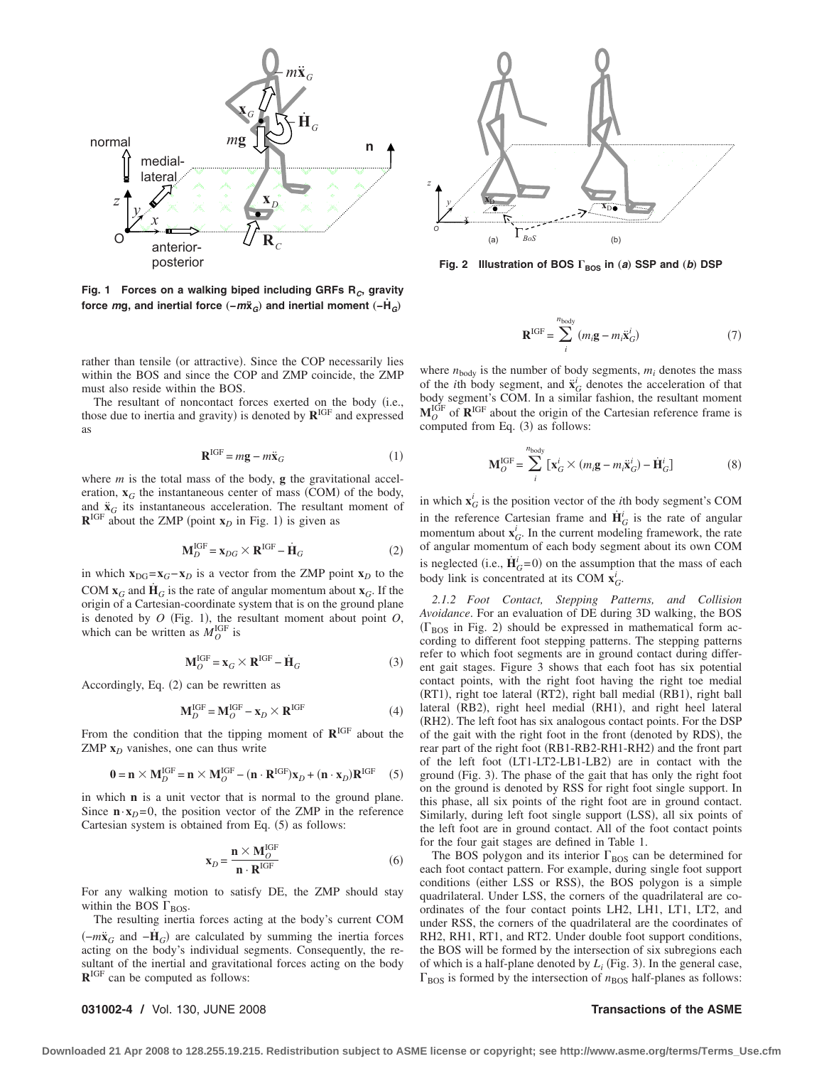

**Fig. 1 Forces on a walking biped including GRFs R***C***, gravity force** *m*g, and inertial force  $(-m\ddot{x}_G)$  and inertial moment  $(-H_G)$ 

rather than tensile (or attractive). Since the COP necessarily lies within the BOS and since the COP and ZMP coincide, the ZMP must also reside within the BOS.

The resultant of noncontact forces exerted on the body (i.e., those due to inertia and gravity) is denoted by  $\mathbf{R}^{\text{IGF}}$  and expressed as

$$
\mathbf{R}^{\text{IGF}} = m\mathbf{g} - m\ddot{\mathbf{x}}_G \tag{1}
$$

where *m* is the total mass of the body, **g** the gravitational acceleration,  $\mathbf{x}_G$  the instantaneous center of mass (COM) of the body, and  $\ddot{\mathbf{x}}_G$  its instantaneous acceleration. The resultant moment of  $\mathbf{R}^{\text{IGF}}$  about the ZMP (point  $\mathbf{x}_D$  in Fig. 1) is given as

$$
\mathbf{M}_{D}^{\text{IGF}} = \mathbf{x}_{DG} \times \mathbf{R}^{\text{IGF}} - \dot{\mathbf{H}}_{G}
$$
 (2)

in which  $\mathbf{x}_{\text{DG}} = \mathbf{x}_{\text{G}} - \mathbf{x}_{\text{D}}$  is a vector from the ZMP point  $\mathbf{x}_{\text{D}}$  to the COM  $\mathbf{x}_G$  and  $\dot{\mathbf{H}}_G$  is the rate of angular momentum about  $\mathbf{x}_G$ . If the origin of a Cartesian-coordinate system that is on the ground plane is denoted by  $O$  (Fig. 1), the resultant moment about point  $O$ , which can be written as  $M_O^{\text{IGF}}$  is

$$
\mathbf{M}_{O}^{\text{IGF}} = \mathbf{x}_{G} \times \mathbf{R}^{\text{IGF}} - \dot{\mathbf{H}}_{G}
$$
 (3)

Accordingly, Eq.  $(2)$  can be rewritten as

$$
\mathbf{M}_{D}^{\text{IGF}} = \mathbf{M}_{O}^{\text{IGF}} - \mathbf{x}_{D} \times \mathbf{R}^{\text{IGF}}
$$
(4)

From the condition that the tipping moment of **R**IGF about the ZMP  $\mathbf{x}_D$  vanishes, one can thus write

$$
\mathbf{0} = \mathbf{n} \times \mathbf{M}_D^{\text{IGF}} = \mathbf{n} \times \mathbf{M}_O^{\text{IGF}} - (\mathbf{n} \cdot \mathbf{R}^{\text{IGF}}) \mathbf{x}_D + (\mathbf{n} \cdot \mathbf{x}_D) \mathbf{R}^{\text{IGF}} \quad (5)
$$

in which **n** is a unit vector that is normal to the ground plane. Since  $\mathbf{n} \cdot \mathbf{x}_D = 0$ , the position vector of the ZMP in the reference Cartesian system is obtained from Eq.  $(5)$  as follows:

$$
\mathbf{x}_D = \frac{\mathbf{n} \times \mathbf{M}_O^{\text{IGF}}}{\mathbf{n} \cdot \mathbf{R}^{\text{IGF}}} \tag{6}
$$

For any walking motion to satisfy DE, the ZMP should stay within the BOS  $\Gamma_{\rm BOS}$ .

The resulting inertia forces acting at the body's current COM  $(-m\ddot{x}_G$  and  $-\mathbf{H}_G$ ) are calculated by summing the inertia forces acting on the body's individual segments. Consequently, the resultant of the inertial and gravitational forces acting on the body **R**IGF can be computed as follows:



**Fig. 2** Illustration of BOS  $\Gamma_{BOS}$  in (a) SSP and (b) DSP

$$
\mathbf{R}^{\text{IGF}} = \sum_{i}^{n_{\text{body}}} (m_i \mathbf{g} - m_i \ddot{\mathbf{x}}_G^i)
$$
 (7)

where  $n_{\text{body}}$  is the number of body segments,  $m_i$  denotes the mass of the *i*th body segment, and  $\ddot{x}^i_G$  denotes the acceleration of that body segment's COM. In a similar fashion, the resultant moment  $M_O^{IGF}$  of  $R^{IGF}$  about the origin of the Cartesian reference frame is computed from Eq.  $(3)$  as follows:

$$
\mathbf{M}_O^{\text{IGF}} = \sum_{i}^{n_{\text{body}}} [\mathbf{x}_G^i \times (m_i \mathbf{g} - m_i \ddot{\mathbf{x}}_G^i) - \dot{\mathbf{H}}_G^i]
$$
(8)

in which  $\mathbf{x}_G^i$  is the position vector of the *i*th body segment's COM in the reference Cartesian frame and  $\dot{\mathbf{H}}_G^i$  is the rate of angular momentum about  $\mathbf{x}_G^i$ . In the current modeling framework, the rate of angular momentum of each body segment about its own COM is neglected (i.e.,  $\dot{\mathbf{H}}_G^i$ =0) on the assumption that the mass of each body link is concentrated at its COM  $\mathbf{x}_G^i$ .

*2.1.2 Foot Contact, Stepping Patterns, and Collision Avoidance*. For an evaluation of DE during 3D walking, the BOS  $(\Gamma_{\rm BOS}$  in Fig. 2) should be expressed in mathematical form according to different foot stepping patterns. The stepping patterns refer to which foot segments are in ground contact during different gait stages. Figure 3 shows that each foot has six potential contact points, with the right foot having the right toe medial (RT1), right toe lateral (RT2), right ball medial (RB1), right ball lateral (RB2), right heel medial (RH1), and right heel lateral RH2. The left foot has six analogous contact points. For the DSP of the gait with the right foot in the front denoted by RDS, the rear part of the right foot (RB1-RB2-RH1-RH2) and the front part of the left foot LT1-LT2-LB1-LB2 are in contact with the ground (Fig. 3). The phase of the gait that has only the right foot on the ground is denoted by RSS for right foot single support. In this phase, all six points of the right foot are in ground contact. Similarly, during left foot single support LSS, all six points of the left foot are in ground contact. All of the foot contact points for the four gait stages are defined in Table 1.

The BOS polygon and its interior  $\Gamma_{\rm BOS}$  can be determined for each foot contact pattern. For example, during single foot support conditions (either LSS or RSS), the BOS polygon is a simple quadrilateral. Under LSS, the corners of the quadrilateral are coordinates of the four contact points LH2, LH1, LT1, LT2, and under RSS, the corners of the quadrilateral are the coordinates of RH2, RH1, RT1, and RT2. Under double foot support conditions, the BOS will be formed by the intersection of six subregions each of which is a half-plane denoted by  $L_i$  (Fig. 3). In the general case,  $\Gamma_{\rm BOS}$  is formed by the intersection of  $n_{\rm BOS}$  half-planes as follows:

**031002-4 /** Vol. 130, JUNE 2008 **Transactions of the ASME**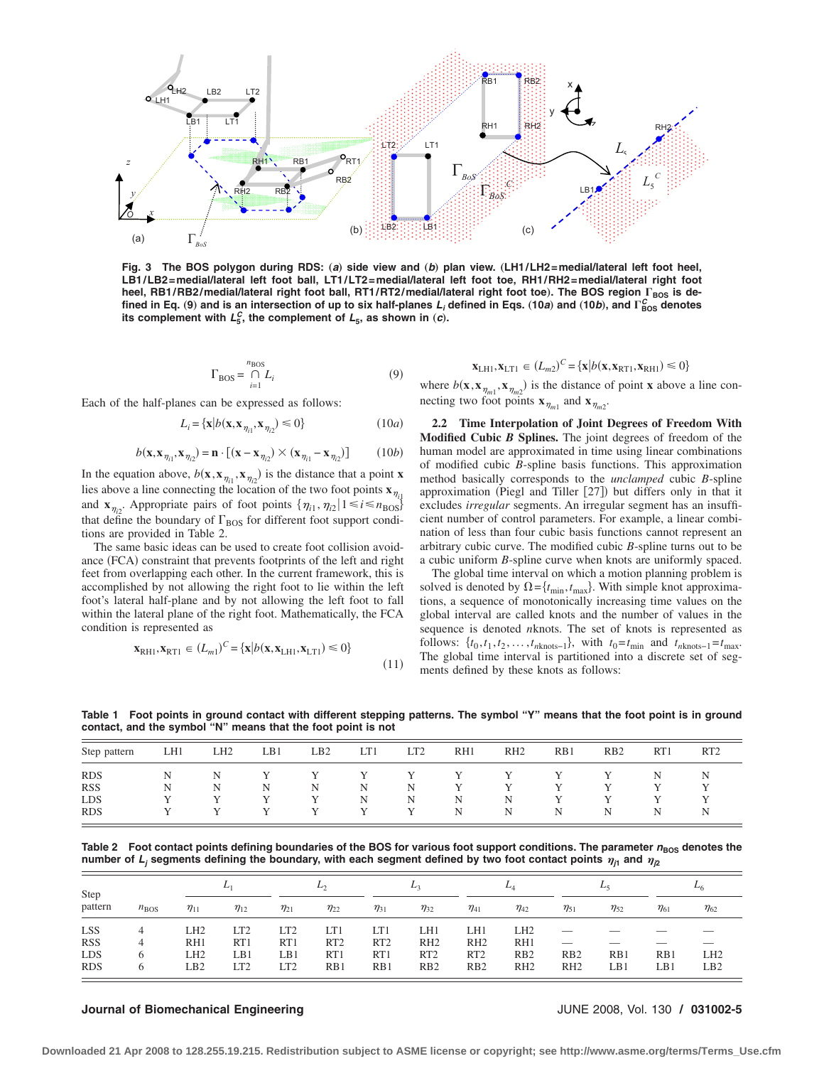

Fig. 3 The BOS polygon during RDS: (a) side view and (b) plan view. (LH1/LH2=medial/lateral left foot heel, **LB1/LB2=medial/lateral left foot ball, LT1/LT2=medial/lateral left foot toe, RH1/RH2=medial/lateral right foot** heel, RB1/RB2/medial/lateral right foot ball, RT1/RT2/medial/lateral right foot toe). The BOS region  $\Gamma_{BOS}$  is defined in Eq. (9) and is an intersection of up to six half-planes  $L_i$  defined in Eqs. (10*a*) and (10*b*), and  $\Gamma^C_{\rm{BOS}}$  denotes its complement with  $L_5^C$ , the complement of  $L_5$ , as shown in  $(c)$ .

$$
\Gamma_{\rm BOS} = \bigcap_{i=1}^{n_{\rm BOS}} L_i \tag{9}
$$

Each of the half-planes can be expressed as follows:

$$
L_i = \{ \mathbf{x} | b(\mathbf{x}, \mathbf{x}_{\eta_{i1}}, \mathbf{x}_{\eta_{i2}}) \le 0 \}
$$
 (10*a*)

$$
b(\mathbf{x}, \mathbf{x}_{\eta_{i1}}, \mathbf{x}_{\eta_{i2}}) = \mathbf{n} \cdot [(\mathbf{x} - \mathbf{x}_{\eta_{i2}}) \times (\mathbf{x}_{\eta_{i1}} - \mathbf{x}_{\eta_{i2}})] \tag{10b}
$$

In the equation above,  $b(\mathbf{x}, \mathbf{x}_{\eta_{i1}}, \mathbf{x}_{\eta_{i2}})$  is the distance that a point **x** lies above a line connecting the location of the two foot points  $\mathbf{x}_{\eta_i}$ and  $\mathbf{x}_{\eta_{i2}}$ . Appropriate pairs of foot points  $\{\eta_{i1}, \eta_{i2} | 1 \le i \le n_{\text{BOS}}\}$ that define the boundary of  $\Gamma_{\rm BOS}$  for different foot support conditions are provided in Table 2.

The same basic ideas can be used to create foot collision avoidance (FCA) constraint that prevents footprints of the left and right feet from overlapping each other. In the current framework, this is accomplished by not allowing the right foot to lie within the left foot's lateral half-plane and by not allowing the left foot to fall within the lateral plane of the right foot. Mathematically, the FCA condition is represented as

$$
\mathbf{x}_{\text{RH1}}, \mathbf{x}_{\text{RT1}} \in (L_{m1})^C = {\mathbf{x}} | b(\mathbf{x}, \mathbf{x}_{\text{LH1}}, \mathbf{x}_{\text{LT1}}) \le 0
$$
\n(11)

 $\mathbf{x}_{\text{LH1}}, \mathbf{x}_{\text{LT1}} \in (L_{m2})^C = {\mathbf{x}} | b(\mathbf{x}, \mathbf{x}_{\text{RT1}}, \mathbf{x}_{\text{RH1}}) \le 0$ 

where  $b(\mathbf{x}, \mathbf{x}_{\eta_{m1}}, \mathbf{x}_{\eta_{m2}})$  is the distance of point **x** above a line connecting two foot points  $\mathbf{x}_{\eta_{m1}}$  and  $\mathbf{x}_{\eta_{m2}}$ .

**2.2 Time Interpolation of Joint Degrees of Freedom With Modified Cubic** *B* **Splines.** The joint degrees of freedom of the human model are approximated in time using linear combinations of modified cubic *B*-spline basis functions. This approximation method basically corresponds to the *unclamped* cubic *B*-spline approximation (Piegl and Tiller [27]) but differs only in that it excludes *irregular* segments. An irregular segment has an insufficient number of control parameters. For example, a linear combination of less than four cubic basis functions cannot represent an arbitrary cubic curve. The modified cubic *B*-spline turns out to be a cubic uniform *B*-spline curve when knots are uniformly spaced.

The global time interval on which a motion planning problem is solved is denoted by  $\Omega = \{t_{\min}, t_{\max}\}\.$  With simple knot approximations, a sequence of monotonically increasing time values on the global interval are called knots and the number of values in the sequence is denoted *n*knots. The set of knots is represented as follows:  $\{t_0, t_1, t_2, \ldots, t_{n \text{knots}-1}\}$ , with  $t_0 = t_{\text{min}}$  and  $t_{n \text{knots}-1} = t_{\text{max}}$ . The global time interval is partitioned into a discrete set of segments defined by these knots as follows:

**Table 1 Foot points in ground contact with different stepping patterns. The symbol "Y" means that the foot point is in ground contact, and the symbol "N" means that the foot point is not**

| Step pattern | LH1 | LH <sub>2</sub> | LB1 | LB <sub>2</sub> | LT1 | LT <sub>2</sub> | RH1 | RH2 | RB1 | RB2 | RT1 | RT <sub>2</sub> |
|--------------|-----|-----------------|-----|-----------------|-----|-----------------|-----|-----|-----|-----|-----|-----------------|
| <b>RDS</b>   | N   | N               |     |                 |     |                 |     |     |     |     | N   | IN              |
| <b>RSS</b>   | N   | N               |     | N               | N   | N               |     |     |     |     |     |                 |
| <b>LDS</b>   |     |                 |     |                 | N   | N               | N   | N   |     |     |     |                 |
| <b>RDS</b>   |     |                 |     |                 |     |                 | N   | N   | N   | N   | N   | N               |

Table 2 Foot contact points defining boundaries of the BOS for various foot support conditions. The parameter  $n_{BOS}$  denotes the number of  $L_j$  segments defining the boundary, with each segment defined by two foot contact points  $\eta_i$  and  $\eta_i$ 

| Step       |                |                 | $L_{1}$         |                 |                 |             |                 |                  | L4          |                  |             |             | $L_{6}$         |
|------------|----------------|-----------------|-----------------|-----------------|-----------------|-------------|-----------------|------------------|-------------|------------------|-------------|-------------|-----------------|
| pattern    | $n_{\rm BOS}$  | $\eta_{11}$     | $\eta_{12}$     | $\eta_{21}$     | $\eta_{22}$     | $\eta_{31}$ | $\eta_{32}$     | $\eta_{41}$      | $\eta_{42}$ | $\eta_{51}$      | $\eta_{52}$ | $\eta_{61}$ | $\eta_{62}$     |
| <b>LSS</b> | $\overline{4}$ | LH <sub>2</sub> | LT <sub>2</sub> | LT <sub>2</sub> | LT1             | LT1         | LH1             | LH1              | LH2         |                  |             |             |                 |
| <b>RSS</b> | $\overline{4}$ | RH1             | RT1             | RT1             | RT <sub>2</sub> | RT2         | RH2             | RH2              | RH1         |                  |             |             |                 |
| <b>LDS</b> | 6              | LH <sub>2</sub> | LB1             | LB1             | RT1             | RT1         | RT <sub>2</sub> | RT2              | RB2         | R <sub>B</sub> 2 | RB1         | RB1         | LH <sub>2</sub> |
| <b>RDS</b> | $\sigma$       | LB <sub>2</sub> | LT <sub>2</sub> | LT <sub>2</sub> | RB1             | RB1         | RB2             | R <sub>B</sub> 2 | RH2         | RH <sub>2</sub>  | LB1         | LB1         | LB <sub>2</sub> |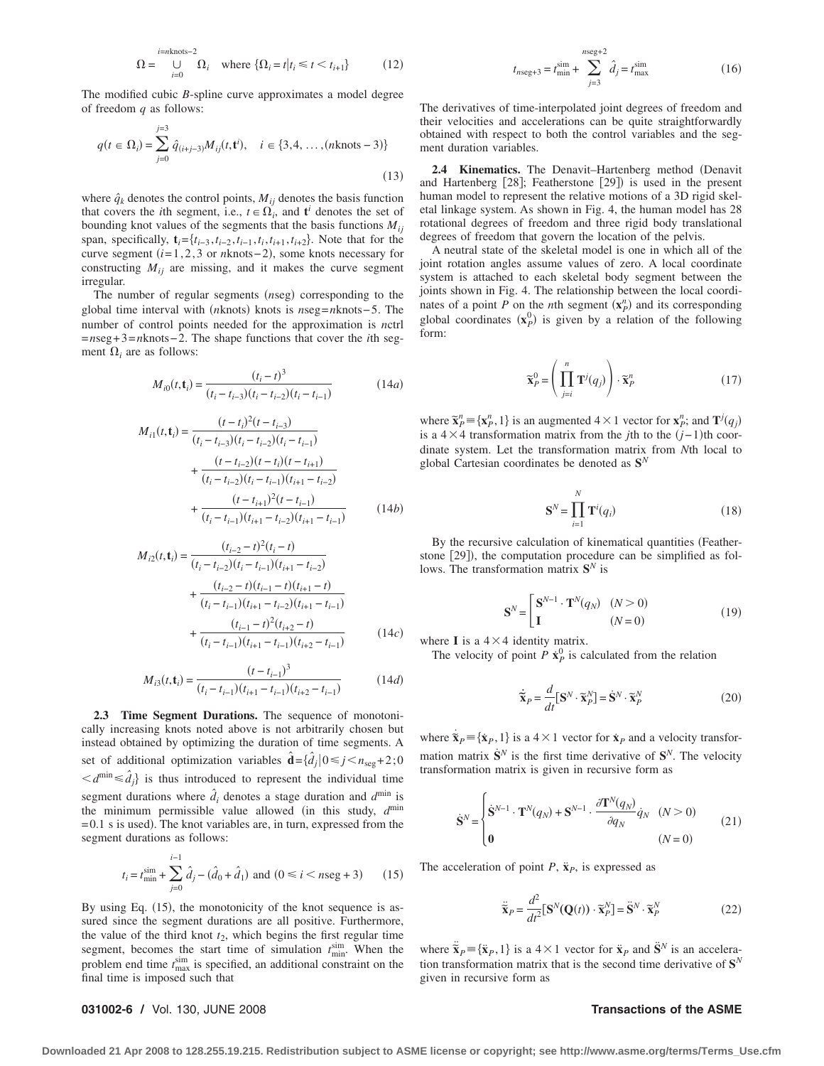$$
\Omega = \bigcup_{i=0}^{i=\text{nknots}-2} \Omega_i \quad \text{where } \{\Omega_i = t | t_i \le t < t_{i+1}\} \tag{12}
$$

The modified cubic *B*-spline curve approximates a model degree of freedom *q* as follows:

$$
q(t \in \Omega_i) = \sum_{j=0}^{j=3} \hat{q}_{(i+j-3)} M_{ij}(t, \mathbf{t}^i), \quad i \in \{3, 4, \dots, (n \text{knots} - 3) \}
$$
\n(13)

where  $\hat{q}_k$  denotes the control points,  $M_{ij}$  denotes the basis function that covers the *i*th segment, i.e.,  $t \in \Omega_i$ , and  $t^i$  denotes the set of bounding knot values of the segments that the basis functions  $M_{ij}$ span, specifically,  $\mathbf{t}_i = \{t_{i-3}, t_{i-2}, t_{i-1}, t_i, t_{i+1}, t_{i+2}\}$ . Note that for the curve segment *i*= 1, 2, 3 or *n*knots− 2, some knots necessary for constructing  $M_{ij}$  are missing, and it makes the curve segment irregular.

The number of regular segments (nseg) corresponding to the global time interval with (*n*knots) knots is *n*seg=*n*knots−5. The number of control points needed for the approximation is *n*ctrl =*n*seg+ 3=*n*knots− 2. The shape functions that cover the *i*th segment  $\Omega_i$  are as follows:

$$
M_{i0}(t, \mathbf{t}_i) = \frac{(t_i - t)^3}{(t_i - t_{i-3})(t_i - t_{i-2})(t_i - t_{i-1})}
$$
(14*a*)

$$
M_{i1}(t, \mathbf{t}_i) = \frac{(t - t_i)^2 (t - t_{i-3})}{(t_i - t_{i-3})(t_i - t_{i-2})(t_i - t_{i-1})} + \frac{(t - t_{i-2})(t - t_i)(t - t_{i+1})}{(t_i - t_{i-2})(t_i - t_{i-1})(t_{i+1} - t_{i-2})} + \frac{(t - t_{i+1})^2 (t - t_{i-1})}{(t_i - t_{i-1})(t_{i+1} - t_{i-2})(t_{i+1} - t_{i-1})}
$$
(14*b*)

$$
M_{i2}(t, \mathbf{t}_i) = \frac{(t_{i-2} - t)^2 (t_i - t)}{(t_i - t_{i-2})(t_i - t_{i-1})(t_{i+1} - t_{i-2})}
$$
  
+ 
$$
\frac{(t_{i-2} - t)(t_{i-1} - t)(t_{i+1} - t)}{(t_i - t_{i-1})(t_{i+1} - t_{i-2})(t_{i+1} - t_{i-1})}
$$
  
+ 
$$
\frac{(t_{i-1} - t)^2 (t_{i+2} - t)}{(t_i - t_{i-1})(t_{i+1} - t_{i-1})(t_{i+2} - t_{i-1})}
$$
(14*c*)

$$
M_{i3}(t, \mathbf{t}_i) = \frac{(t - t_{i-1})^3}{(t_i - t_{i-1})(t_{i+1} - t_{i-1})(t_{i+2} - t_{i-1})}
$$
(14*d*)

**2.3 Time Segment Durations.** The sequence of monotonically increasing knots noted above is not arbitrarily chosen but instead obtained by optimizing the duration of time segments. A set of additional optimization variables  $\hat{\mathbf{d}} = \{\hat{d}_j | 0 \leq j \leq n_{\text{seg}} + 2; 0\}$  $\langle a^{\text{min}} \leq \hat{d}_j \rangle$  is thus introduced to represent the individual time segment durations where  $\hat{d}_i$  denotes a stage duration and  $d^{\min}$  is the minimum permissible value allowed (in this study,  $d^{min}$  $= 0.1$  s is used. The knot variables are, in turn, expressed from the segment durations as follows:

$$
t_i = t_{\min}^{\text{sim}} + \sum_{j=0}^{i-1} \hat{d}_j - (\hat{d}_0 + \hat{d}_1) \text{ and } (0 \le i < n \le t + 3)
$$
 (15)

By using Eq. (15), the monotonicity of the knot sequence is assured since the segment durations are all positive. Furthermore, the value of the third knot  $t_2$ , which begins the first regular time segment, becomes the start time of simulation  $t_{\min}^{\text{sim}}$ . When the problem end time  $t_{\text{max}}^{\text{sim}}$  is specified, an additional constraint on the final time is imposed such that

$$
t_{n\text{seg}+3} = t_{\text{min}}^{\text{sim}} + \sum_{j=3}^{n\text{seg}+2} \hat{d}_j = t_{\text{max}}^{\text{sim}} \tag{16}
$$

The derivatives of time-interpolated joint degrees of freedom and their velocities and accelerations can be quite straightforwardly obtained with respect to both the control variables and the segment duration variables.

2.4 Kinematics. The Denavit–Hartenberg method (Denavit and Hartenberg [28]; Featherstone [29]) is used in the present human model to represent the relative motions of a 3D rigid skeletal linkage system. As shown in Fig. 4, the human model has 28 rotational degrees of freedom and three rigid body translational degrees of freedom that govern the location of the pelvis.

A neutral state of the skeletal model is one in which all of the joint rotation angles assume values of zero. A local coordinate system is attached to each skeletal body segment between the joints shown in Fig. 4. The relationship between the local coordinates of a point *P* on the *n*th segment  $(\mathbf{x}_p^n)$  and its corresponding global coordinates  $(\mathbf{x}_p^0)$  is given by a relation of the following form:

$$
\widetilde{\mathbf{x}}_P^0 = \left(\prod_{j=i}^n \mathbf{T}^j(q_j)\right) \cdot \widetilde{\mathbf{x}}_P^n \tag{17}
$$

where  $\tilde{\mathbf{x}}_p^n \equiv {\mathbf{x}_p^n, 1}$  is an augmented  $4 \times 1$  vector for  $\mathbf{x}_p^n$ ; and  $\mathbf{T}^j(q_j)$ is a 4 $\times$ 4 transformation matrix from the *j*th to the  $(j-1)$ th coordinate system. Let the transformation matrix from *N*th local to global Cartesian coordinates be denoted as **S***<sup>N</sup>*

$$
\mathbf{S}^{N} = \prod_{i=1}^{N} \mathbf{T}^{i}(q_{i})
$$
\n(18)

By the recursive calculation of kinematical quantities (Featherstone [29]), the computation procedure can be simplified as follows. The transformation matrix  $S^N$  is

$$
\mathbf{S}^{N} = \begin{bmatrix} \mathbf{S}^{N-1} \cdot \mathbf{T}^{N}(q_{N}) & (N > 0) \\ \mathbf{I} & (N = 0) \end{bmatrix} \tag{19}
$$

where **I** is a  $4 \times 4$  identity matrix.

The velocity of point  $P \times_p^0$  is calculated from the relation

$$
\dot{\tilde{\mathbf{x}}}_P = \frac{d}{dt} [\mathbf{S}^N \cdot \tilde{\mathbf{x}}_P^N] = \dot{\mathbf{S}}^N \cdot \tilde{\mathbf{x}}_P^N
$$
\n(20)

where  $\dot{\tilde{\mathbf{x}}}_P = {\{\dot{\mathbf{x}}_P, 1\}}$  is a  $4 \times 1$  vector for  $\dot{\mathbf{x}}_P$  and a velocity transformation matrix  $\dot{S}^N$  is the first time derivative of  $S^N$ . The velocity transformation matrix is given in recursive form as

$$
\dot{\mathbf{S}}^{N} = \begin{cases} \dot{\mathbf{S}}^{N-1} \cdot \mathbf{T}^{N}(q_{N}) + \mathbf{S}^{N-1} \cdot \frac{\partial \mathbf{T}^{N}(q_{N})}{\partial q_{N}} \dot{q}_{N} & (N > 0) \\ \mathbf{0} & (N = 0) \end{cases}
$$
(21)

The acceleration of point  $P$ ,  $\ddot{\mathbf{x}}_P$ , is expressed as

$$
\ddot{\widetilde{\mathbf{x}}}_P = \frac{d^2}{dt^2} [\mathbf{S}^N(\mathbf{Q}(t)) \cdot \widetilde{\mathbf{x}}_P^N] = \ddot{\mathbf{S}}^N \cdot \widetilde{\mathbf{x}}_P^N \tag{22}
$$

where  $\ddot{\mathbf{x}}_P = {\mathbf{x}_P, 1}$  is a  $4 \times 1$  vector for  $\ddot{\mathbf{x}}_P$  and  $\ddot{\mathbf{S}}^N$  is an acceleration transformation matrix that is the second time derivative of  $S<sup>N</sup>$ given in recursive form as

# **031002-6 /** Vol. 130, JUNE 2008 **Transactions of the ASME**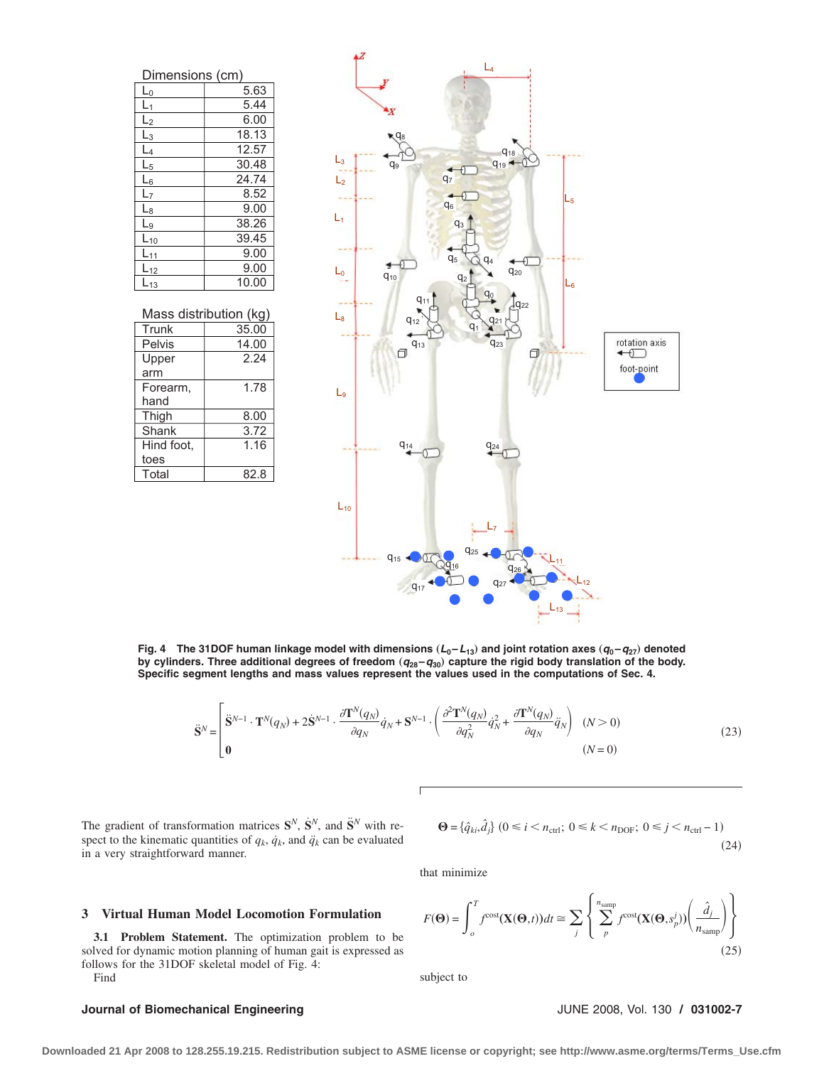| 5.63<br>5.44<br>6.00<br>18.13 |
|-------------------------------|
|                               |
|                               |
|                               |
|                               |
| 12.57                         |
| 30.48                         |
| 24.74                         |
| 8.52                          |
| 9.00                          |
| 38.26                         |
| 39.45                         |
| 9.00                          |
| 9.00                          |
|                               |
|                               |

| Mass distribution (kg) |       |  |  |  |  |
|------------------------|-------|--|--|--|--|
| Trunk                  | 35.00 |  |  |  |  |
| Pelvis                 | 14.00 |  |  |  |  |
| Upper                  | 2.24  |  |  |  |  |
| arm                    |       |  |  |  |  |
| Forearm,               | 1.78  |  |  |  |  |
| hand                   |       |  |  |  |  |
| Thigh                  | 8.00  |  |  |  |  |
| Shank                  | 3.72  |  |  |  |  |
| Hind foot,             | 1.16  |  |  |  |  |
| toes                   |       |  |  |  |  |
| Total                  | 82.8  |  |  |  |  |



**Fig. 4** The 31DOF human linkage model with dimensions  $(L_0 - L_{13})$  and joint rotation axes  $(q_0 - q_{27})$  denoted by cylinders. Three additional degrees of freedom  $(q_{28}-q_{30})$  capture the rigid body translation of the body. **Specific segment lengths and mass values represent the values used in the computations of Sec. 4.**

$$
\ddot{\mathbf{S}}^{N} = \begin{bmatrix} \ddot{\mathbf{S}}^{N-1} \cdot \mathbf{T}^{N}(q_{N}) + 2\dot{\mathbf{S}}^{N-1} \cdot \frac{\partial \mathbf{T}^{N}(q_{N})}{\partial q_{N}} \dot{q}_{N} + \mathbf{S}^{N-1} \cdot \left( \frac{\partial^{2} \mathbf{T}^{N}(q_{N})}{\partial q_{N}^{2}} \dot{q}_{N}^{2} + \frac{\partial \mathbf{T}^{N}(q_{N})}{\partial q_{N}} \ddot{q}_{N} \right) & (N > 0) \\ \mathbf{0} & (N = 0) \end{bmatrix}
$$
(23)

The gradient of transformation matrices  $S^N$ ,  $\dot{S}^N$ , and  $\ddot{S}^N$  with respect to the kinematic quantities of  $q_k$ ,  $\dot{q}_k$ , and  $\ddot{q}_k$  can be evaluated in a very straightforward manner.

$$
\mathbf{\Theta} = \{ \hat{q}_{ki}, \hat{d}_j \} \ (0 \le i < n_{\text{ctrl}}; \ 0 \le k < n_{\text{DOF}}; \ 0 \le j < n_{\text{ctrl}} - 1) \tag{24}
$$

that minimize

# **3 Virtual Human Model Locomotion Formulation**

**3.1 Problem Statement.** The optimization problem to be solved for dynamic motion planning of human gait is expressed as follows for the 31DOF skeletal model of Fig. 4:

Find

### $F(\Theta) = \int_{o}^{b}$ *T*  $f^{\text{cost}}(\mathbf{X}(\Theta, t))dt \cong \sum_{j} \left\{ \sum_{p}^{n_{\text{sample}}} \right\}$  $f^{\text{cost}}(\mathbf{X}(\mathbf{\Theta}, s_p^j))\left(\frac{\hat{d}}{n}\right)$  $\hat{d}_j$ *n*samp  $\left\{ \right\}$  $(25)$

subject to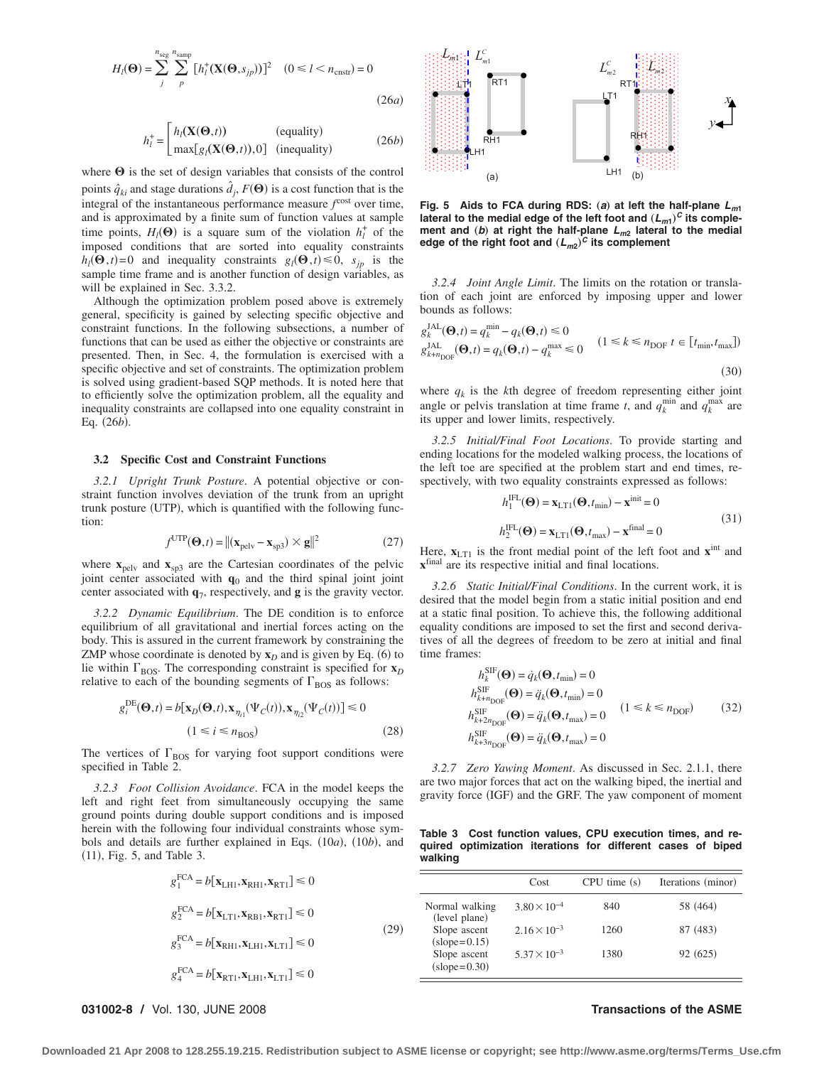$$
H_l(\Theta) = \sum_{j}^{n_{\text{seg}}} \sum_{p}^{n_{\text{{samp}}} \left[ h_l^+(\mathbf{X}(\Theta, s_{jp})) \right]^2 \quad (0 \le l < n_{\text{cnstr}}) = 0
$$
\n(26a)

$$
h_l^+ = \begin{bmatrix} h_l(\mathbf{X}(\Theta, t)) & \text{(equality)} \\ \max[g_l(\mathbf{X}(\Theta, t)), 0] & \text{(inequality)} \end{bmatrix} \tag{26b}
$$

where  $\Theta$  is the set of design variables that consists of the control points  $\hat{q}_{ki}$  and stage durations  $\hat{d}_j$ ,  $F(\Theta)$  is a cost function that is the integral of the instantaneous performance measure  $f<sup>cost</sup>$  over time, and is approximated by a finite sum of function values at sample time points,  $H_l(\Theta)$  is a square sum of the violation  $h_l^+$  of the imposed conditions that are sorted into equality constraints  $h_l(\Theta, t) = 0$  and inequality constraints  $g_l(\Theta, t) \le 0$ ,  $s_{jp}$  is the sample time frame and is another function of design variables, as will be explained in Sec. 3.3.2.

Although the optimization problem posed above is extremely general, specificity is gained by selecting specific objective and constraint functions. In the following subsections, a number of functions that can be used as either the objective or constraints are presented. Then, in Sec. 4, the formulation is exercised with a specific objective and set of constraints. The optimization problem is solved using gradient-based SQP methods. It is noted here that to efficiently solve the optimization problem, all the equality and inequality constraints are collapsed into one equality constraint in Eq. 26*b*.

### **3.2 Specific Cost and Constraint Functions**

*3.2.1 Upright Trunk Posture*. A potential objective or constraint function involves deviation of the trunk from an upright trunk posture UTP, which is quantified with the following function:

$$
fUTP(⑤,t) = ||(xpelv - xsp3) × g||2
$$
\n(27)

where  $\mathbf{x}_{\text{pelv}}$  and  $\mathbf{x}_{\text{sp3}}$  are the Cartesian coordinates of the pelvic joint center associated with **q**<sup>0</sup> and the third spinal joint joint center associated with  $q_7$ , respectively, and **g** is the gravity vector.

*3.2.2 Dynamic Equilibrium*. The DE condition is to enforce equilibrium of all gravitational and inertial forces acting on the body. This is assured in the current framework by constraining the ZMP whose coordinate is denoted by  $\mathbf{x}_D$  and is given by Eq. (6) to lie within  $\Gamma_{\text{BOS}}$ . The corresponding constraint is specified for  $\mathbf{x}_D$ relative to each of the bounding segments of  $\Gamma_{\rm BOS}$  as follows:

$$
g_i^{\text{DE}}(\mathbf{\Theta}, t) = b[\mathbf{x}_D(\mathbf{\Theta}, t), \mathbf{x}_{\eta_{i1}}(\Psi_C(t)), \mathbf{x}_{\eta_{i2}}(\Psi_C(t))] \le 0
$$
  
(1 \le i \le n<sub>BOS</sub>) (28)

The vertices of  $\Gamma_{\rm BOS}$  for varying foot support conditions were specified in Table 2.

*3.2.3 Foot Collision Avoidance*. FCA in the model keeps the left and right feet from simultaneously occupying the same ground points during double support conditions and is imposed herein with the following four individual constraints whose symbols and details are further explained in Eqs. 10*a*, 10*b*, and 11, Fig. 5, and Table 3.

$$
g_1^{FCA} = b[\mathbf{x}_{LH1}, \mathbf{x}_{RH1}, \mathbf{x}_{RT1}] \le 0
$$
  
\n
$$
g_2^{FCA} = b[\mathbf{x}_{LT1}, \mathbf{x}_{RB1}, \mathbf{x}_{RT1}] \le 0
$$
  
\n
$$
g_3^{FCA} = b[\mathbf{x}_{RH1}, \mathbf{x}_{LH1}, \mathbf{x}_{LT1}] \le 0
$$
  
\n
$$
g_4^{FCA} = b[\mathbf{x}_{RT1}, \mathbf{x}_{LH1}, \mathbf{x}_{LT1}] \le 0
$$
\n(29)



**Fig. 5** Aids to FCA during RDS: (a) at left the half-plane  $L_{m1}$ lateral to the medial edge of the left foot and  $(L_{m1})^C$  its complement and  $(b)$  at right the half-plane  $L_{m2}$  lateral to the medial edge of the right foot and  $(L_{m2})^C$  its complement

*3.2.4 Joint Angle Limit*. The limits on the rotation or translation of each joint are enforced by imposing upper and lower bounds as follows:

$$
g_k^{\text{JAL}}(\mathbf{\Theta},t) = q_k^{\min} - q_k(\mathbf{\Theta},t) \le 0
$$
  
\n
$$
g_{k+n_{\text{DOF}}}^{\text{JAL}}(\mathbf{\Theta},t) = q_k(\mathbf{\Theta},t) - q_k^{\max} \le 0
$$
 (1  $\le k \le n_{\text{DOF}} t \in [t_{\text{min}}, t_{\text{max}}]$  (30)

where  $q_k$  is the  $k$ th degree of freedom representing either joint angle or pelvis translation at time frame *t*, and  $q_k^{\text{min}}$  and  $q_k^{\text{max}}$  are its upper and lower limits, respectively.

*3.2.5 Initial/Final Foot Locations*. To provide starting and ending locations for the modeled walking process, the locations of the left toe are specified at the problem start and end times, respectively, with two equality constraints expressed as follows:

$$
h_1^{\text{IFL}}(\Theta) = \mathbf{x}_{\text{LT1}}(\Theta, t_{\text{min}}) - \mathbf{x}^{\text{init}} = 0
$$
  

$$
h_2^{\text{IFL}}(\Theta) = \mathbf{x}_{\text{LT1}}(\Theta, t_{\text{max}}) - \mathbf{x}^{\text{final}} = 0
$$
 (31)

Here,  $\mathbf{x}_{LT1}$  is the front medial point of the left foot and  $\mathbf{x}^{\text{int}}$  and **x**final are its respective initial and final locations.

*3.2.6 Static Initial/Final Conditions*. In the current work, it is desired that the model begin from a static initial position and end at a static final position. To achieve this, the following additional equality conditions are imposed to set the first and second derivatives of all the degrees of freedom to be zero at initial and final time frames:

$$
h_k^{\text{SIF}}(\mathbf{\Theta}) = \dot{q}_k(\mathbf{\Theta}, t_{\text{min}}) = 0
$$
  
\n
$$
h_{k+n_{\text{DOF}}}^{\text{SIF}}(\mathbf{\Theta}) = \ddot{q}_k(\mathbf{\Theta}, t_{\text{min}}) = 0
$$
  
\n
$$
h_{k+2n_{\text{DOF}}}^{\text{SIF}}(\mathbf{\Theta}) = \ddot{q}_k(\mathbf{\Theta}, t_{\text{max}}) = 0 \qquad (1 \le k \le n_{\text{DOF}})
$$
  
\n
$$
h_{k+3n_{\text{DOF}}}^{\text{SIF}}(\mathbf{\Theta}) = \ddot{q}_k(\mathbf{\Theta}, t_{\text{max}}) = 0
$$
  
\n(32)

*3.2.7 Zero Yawing Moment*. As discussed in Sec. 2.1.1, there are two major forces that act on the walking biped, the inertial and gravity force (IGF) and the GRF. The yaw component of moment

**Table 3 Cost function values, CPU execution times, and required optimization iterations for different cases of biped walking**

|                                 | Cost                  | CPU time(s) | Iterations (minor) |
|---------------------------------|-----------------------|-------------|--------------------|
| Normal walking<br>(level plane) | $3.80 \times 10^{-4}$ | 840         | 58 (464)           |
| Slope ascent<br>$(slope=0.15)$  | $2.16 \times 10^{-3}$ | 1260        | 87 (483)           |
| Slope ascent<br>$(slope=0.30)$  | $5.37 \times 10^{-3}$ | 1380        | 92 (625)           |

### **031002-8 /** Vol. 130, JUNE 2008 **Transactions of the ASME**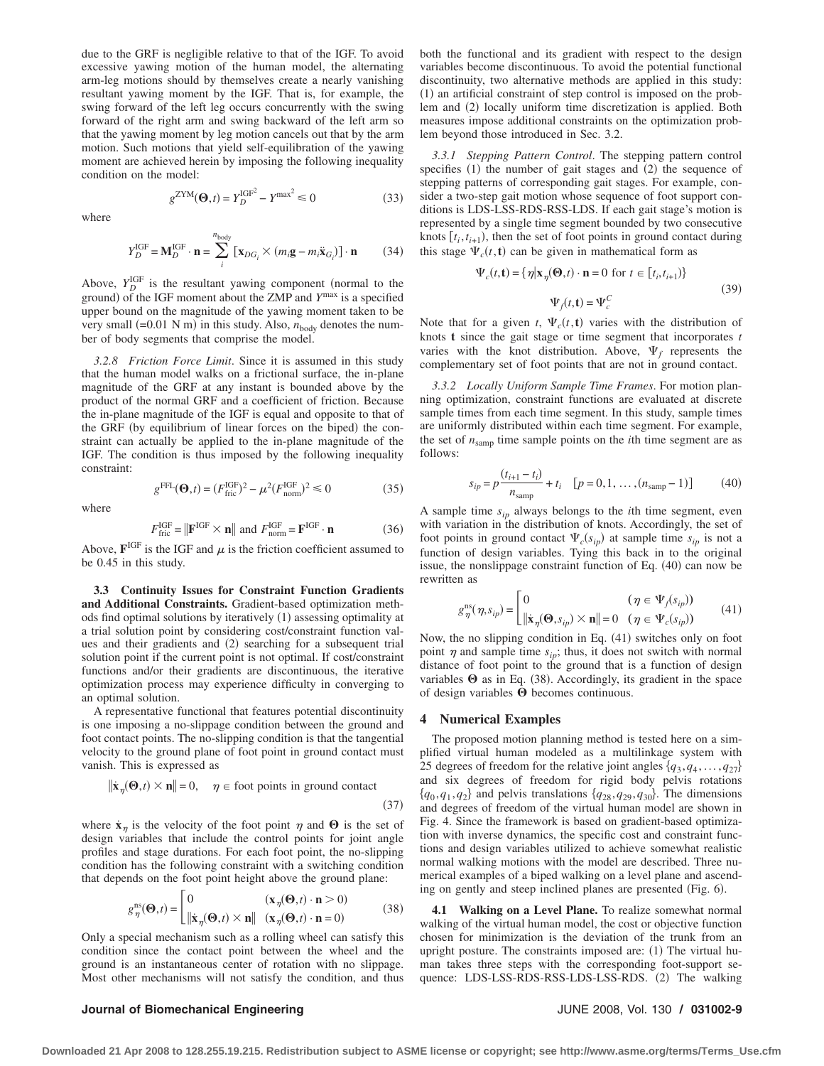due to the GRF is negligible relative to that of the IGF. To avoid excessive yawing motion of the human model, the alternating arm-leg motions should by themselves create a nearly vanishing resultant yawing moment by the IGF. That is, for example, the swing forward of the left leg occurs concurrently with the swing forward of the right arm and swing backward of the left arm so that the yawing moment by leg motion cancels out that by the arm motion. Such motions that yield self-equilibration of the yawing moment are achieved herein by imposing the following inequality condition on the model:

$$
g^{\text{ZYM}}(\mathbf{\Theta},t) = Y_D^{\text{IGF}^2} - Y^{\text{max}^2} \le 0 \tag{33}
$$

where

$$
Y_D^{\text{IGF}} = \mathbf{M}_D^{\text{IGF}} \cdot \mathbf{n} = \sum_{i}^{n_{\text{body}}} \left[ \mathbf{x}_{DG_i} \times (m_i \mathbf{g} - m_i \ddot{\mathbf{x}}_{G_i}) \right] \cdot \mathbf{n} \tag{34}
$$

Above,  $Y_D^{\text{IGF}}$  is the resultant yawing component (normal to the ground) of the IGF moment about the ZMP and  $Y<sup>max</sup>$  is a specified upper bound on the magnitude of the yawing moment taken to be very small  $(=0.01 \text{ N m})$  in this study. Also,  $n_{\text{body}}$  denotes the number of body segments that comprise the model.

*3.2.8 Friction Force Limit*. Since it is assumed in this study that the human model walks on a frictional surface, the in-plane magnitude of the GRF at any instant is bounded above by the product of the normal GRF and a coefficient of friction. Because the in-plane magnitude of the IGF is equal and opposite to that of the GRF (by equilibrium of linear forces on the biped) the constraint can actually be applied to the in-plane magnitude of the IGF. The condition is thus imposed by the following inequality constraint:

where

$$
F_{\text{fric}}^{\text{IGF}} = \|\mathbf{F}^{\text{IGF}} \times \mathbf{n}\| \text{ and } F_{\text{norm}}^{\text{IGF}} = \mathbf{F}^{\text{IGF}} \cdot \mathbf{n} \tag{36}
$$

 $g^{\text{FFL}}(\Theta, t) = (F_{\text{fric}}^{\text{IGF}})^2 - \mu^2 (F_{\text{norm}}^{\text{IGF}})^2 \le 0$  (35)

Above,  $\mathbf{F}^{\text{IGF}}$  is the IGF and  $\mu$  is the friction coefficient assumed to be 0.45 in this study.

**3.3 Continuity Issues for Constraint Function Gradients and Additional Constraints.** Gradient-based optimization methods find optimal solutions by iteratively  $(1)$  assessing optimality at a trial solution point by considering cost/constraint function values and their gradients and (2) searching for a subsequent trial solution point if the current point is not optimal. If cost/constraint functions and/or their gradients are discontinuous, the iterative optimization process may experience difficulty in converging to an optimal solution.

A representative functional that features potential discontinuity is one imposing a no-slippage condition between the ground and foot contact points. The no-slipping condition is that the tangential velocity to the ground plane of foot point in ground contact must vanish. This is expressed as

$$
\|\dot{\mathbf{x}}_{\eta}(\mathbf{\Theta},t) \times \mathbf{n}\| = 0, \quad \eta \in \text{foot points in ground contact}
$$
\n(37)

where  $\dot{\mathbf{x}}_n$  is the velocity of the foot point  $\eta$  and  $\Theta$  is the set of design variables that include the control points for joint angle profiles and stage durations. For each foot point, the no-slipping condition has the following constraint with a switching condition that depends on the foot point height above the ground plane:

$$
g_{\eta}^{\text{ns}}(\mathbf{\Theta},t) = \begin{bmatrix} 0 & (\mathbf{x}_{\eta}(\mathbf{\Theta},t) \cdot \mathbf{n} > 0) \\ \|\mathbf{x}_{\eta}(\mathbf{\Theta},t) \times \mathbf{n}\| & (\mathbf{x}_{\eta}(\mathbf{\Theta},t) \cdot \mathbf{n} = 0) \end{bmatrix}
$$
(38)

Only a special mechanism such as a rolling wheel can satisfy this condition since the contact point between the wheel and the ground is an instantaneous center of rotation with no slippage. Most other mechanisms will not satisfy the condition, and thus both the functional and its gradient with respect to the design variables become discontinuous. To avoid the potential functional discontinuity, two alternative methods are applied in this study:  $(1)$  an artificial constraint of step control is imposed on the problem and (2) locally uniform time discretization is applied. Both measures impose additional constraints on the optimization problem beyond those introduced in Sec. 3.2.

*3.3.1 Stepping Pattern Control*. The stepping pattern control specifies  $(1)$  the number of gait stages and  $(2)$  the sequence of stepping patterns of corresponding gait stages. For example, consider a two-step gait motion whose sequence of foot support conditions is LDS-LSS-RDS-RSS-LDS. If each gait stage's motion is represented by a single time segment bounded by two consecutive knots  $[t_i, t_{i+1})$ , then the set of foot points in ground contact during this stage  $\Psi_c(t, t)$  can be given in mathematical form as

$$
\Psi_c(t, \mathbf{t}) = \{ \eta | \mathbf{x}_{\eta}(\Theta, t) \cdot \mathbf{n} = 0 \text{ for } t \in [t_i, t_{i+1}) \}
$$
  

$$
\Psi_f(t, \mathbf{t}) = \Psi_c^C
$$
 (39)

Note that for a given *t*,  $\Psi_c(t, t)$  varies with the distribution of knots **t** since the gait stage or time segment that incorporates *t* varies with the knot distribution. Above,  $\Psi_f$  represents the complementary set of foot points that are not in ground contact.

*3.3.2 Locally Uniform Sample Time Frames*. For motion planning optimization, constraint functions are evaluated at discrete sample times from each time segment. In this study, sample times are uniformly distributed within each time segment. For example, the set of  $n_{\text{samp}}$  time sample points on the *i*th time segment are as follows:

$$
s_{ip} = p \frac{(t_{i+1} - t_i)}{n_{\text{samp}}} + t_i \quad [p = 0, 1, \dots, (n_{\text{samp}} - 1)] \tag{40}
$$

A sample time  $s_{ip}$  always belongs to the *i*th time segment, even with variation in the distribution of knots. Accordingly, the set of foot points in ground contact  $\Psi_c(s_{ip})$  at sample time  $s_{ip}$  is not a function of design variables. Tying this back in to the original issue, the nonslippage constraint function of Eq.  $(40)$  can now be rewritten as

$$
g_{\eta}^{\text{ns}}(\eta, s_{ip}) = \begin{bmatrix} 0 & (\eta \in \Psi_f(s_{ip})) \\ \|\dot{\mathbf{x}}_{\eta}(\mathbf{\Theta}, s_{ip}) \times \mathbf{n}\| = 0 & (\eta \in \Psi_c(s_{ip})) \end{bmatrix}
$$
(41)

Now, the no slipping condition in Eq. (41) switches only on foot point  $\eta$  and sample time  $s_{ip}$ ; thus, it does not switch with normal distance of foot point to the ground that is a function of design variables  $\Theta$  as in Eq. (38). Accordingly, its gradient in the space of design variables  $\Theta$  becomes continuous.

## **4 Numerical Examples**

The proposed motion planning method is tested here on a simplified virtual human modeled as a multilinkage system with 25 degrees of freedom for the relative joint angles  $\{q_3, q_4, \ldots, q_{27}\}\$ and six degrees of freedom for rigid body pelvis rotations  $\{q_0, q_1, q_2\}$  and pelvis translations  $\{q_{28}, q_{29}, q_{30}\}$ . The dimensions and degrees of freedom of the virtual human model are shown in Fig. 4. Since the framework is based on gradient-based optimization with inverse dynamics, the specific cost and constraint functions and design variables utilized to achieve somewhat realistic normal walking motions with the model are described. Three numerical examples of a biped walking on a level plane and ascending on gently and steep inclined planes are presented (Fig. 6).

**4.1 Walking on a Level Plane.** To realize somewhat normal walking of the virtual human model, the cost or objective function chosen for minimization is the deviation of the trunk from an upright posture. The constraints imposed are:  $(1)$  The virtual human takes three steps with the corresponding foot-support sequence: LDS-LSS-RDS-RSS-LDS-LSS-RDS. (2) The walking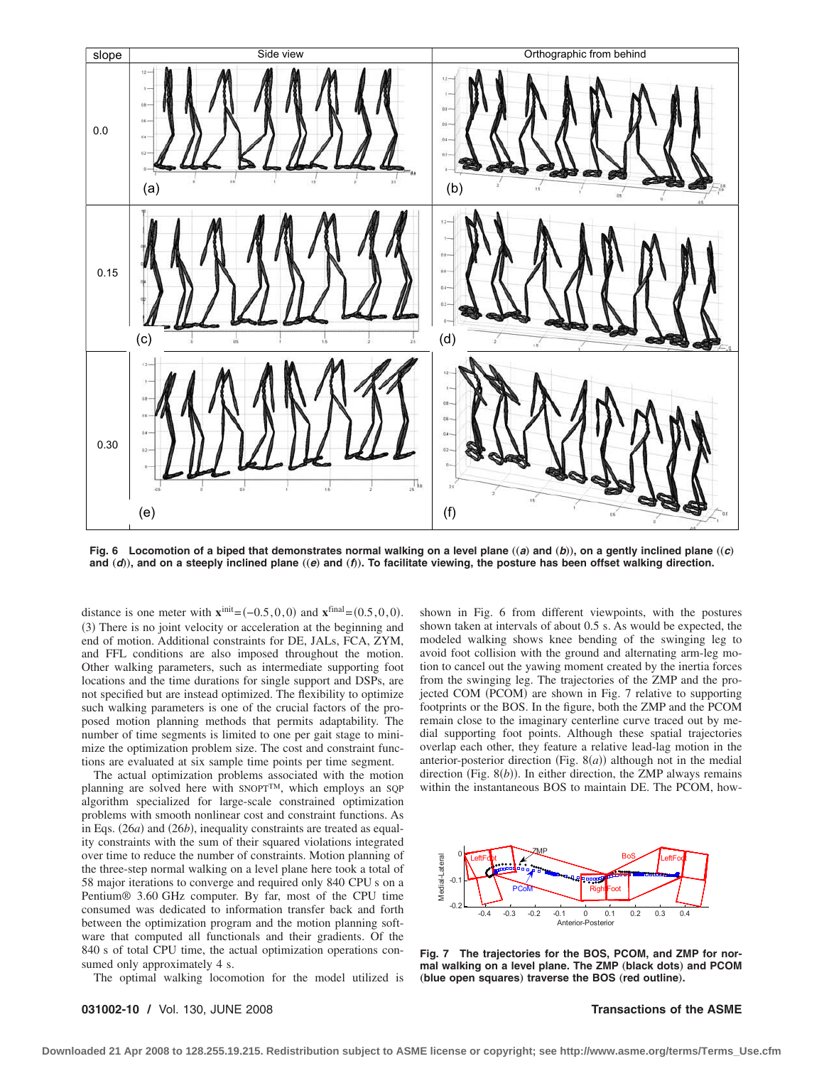

**Fig. 6** Locomotion of a biped that demonstrates normal walking on a level plane  $((a)$  and  $(b)$ ), on a gently inclined plane  $((c)$ and  $(d)$ , and on a steeply inclined plane  $((e)$  and  $(f)$ . To facilitate viewing, the posture has been offset walking direction.

distance is one meter with  $\mathbf{x}^{\text{init}} = (-0.5, 0, 0)$  and  $\mathbf{x}^{\text{final}} = (0.5, 0, 0)$ . 3 There is no joint velocity or acceleration at the beginning and end of motion. Additional constraints for DE, JALs, FCA, ZYM, and FFL conditions are also imposed throughout the motion. Other walking parameters, such as intermediate supporting foot locations and the time durations for single support and DSPs, are not specified but are instead optimized. The flexibility to optimize such walking parameters is one of the crucial factors of the proposed motion planning methods that permits adaptability. The number of time segments is limited to one per gait stage to minimize the optimization problem size. The cost and constraint functions are evaluated at six sample time points per time segment.

The actual optimization problems associated with the motion planning are solved here with SNOPT™, which employs an SQP algorithm specialized for large-scale constrained optimization problems with smooth nonlinear cost and constraint functions. As in Eqs.  $(26a)$  and  $(26b)$ , inequality constraints are treated as equality constraints with the sum of their squared violations integrated over time to reduce the number of constraints. Motion planning of the three-step normal walking on a level plane here took a total of 58 major iterations to converge and required only 840 CPU s on a Pentium® 3.60 GHz computer. By far, most of the CPU time consumed was dedicated to information transfer back and forth between the optimization program and the motion planning software that computed all functionals and their gradients. Of the 840 s of total CPU time, the actual optimization operations consumed only approximately 4 s.

The optimal walking locomotion for the model utilized is

shown in Fig. 6 from different viewpoints, with the postures shown taken at intervals of about 0.5 s. As would be expected, the modeled walking shows knee bending of the swinging leg to avoid foot collision with the ground and alternating arm-leg motion to cancel out the yawing moment created by the inertia forces from the swinging leg. The trajectories of the ZMP and the projected COM (PCOM) are shown in Fig. 7 relative to supporting footprints or the BOS. In the figure, both the ZMP and the PCOM remain close to the imaginary centerline curve traced out by medial supporting foot points. Although these spatial trajectories overlap each other, they feature a relative lead-lag motion in the anterior-posterior direction (Fig.  $8(a)$ ) although not in the medial direction (Fig.  $8(b)$ ). In either direction, the ZMP always remains within the instantaneous BOS to maintain DE. The PCOM, how-



**Fig. 7 The trajectories for the BOS, PCOM, and ZMP for normal walking on a level plane. The ZMP** (black dots) and PCOM  $(h)$  (blue open squares) traverse the BOS (red outline).

# **031002-10 /** Vol. 130, JUNE 2008 **Transactions of the ASME**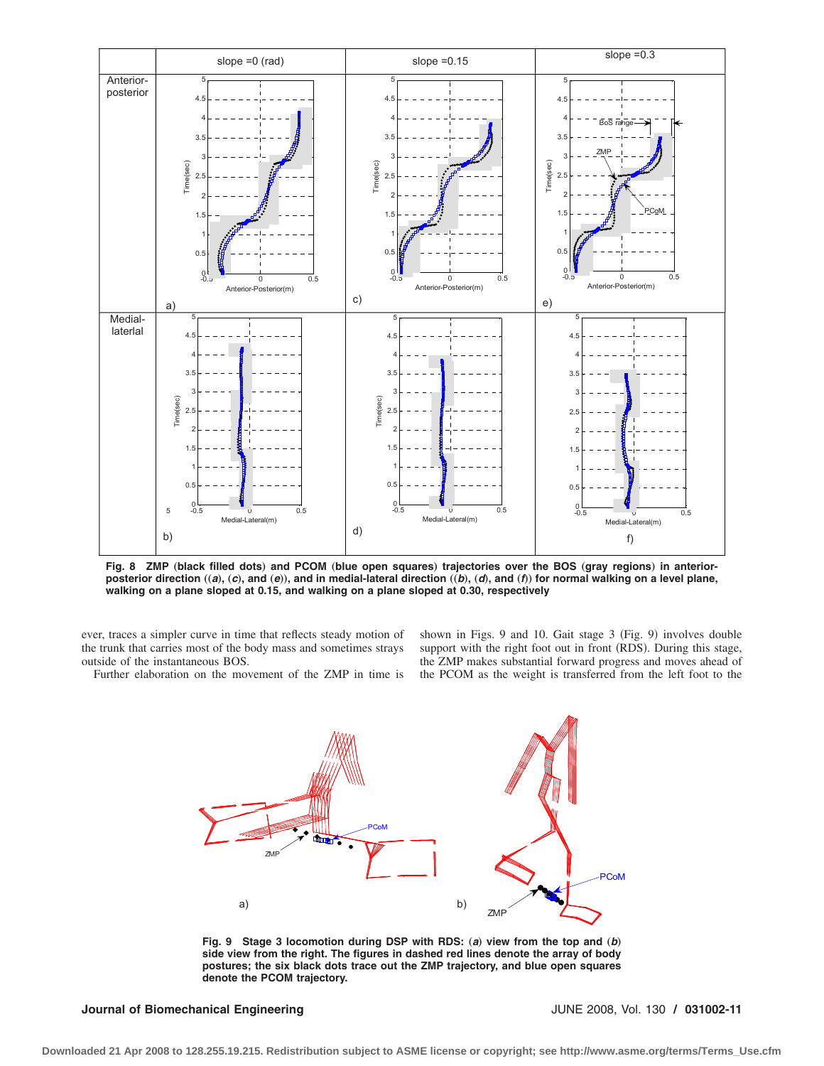

Fig. 8 ZMP (black filled dots) and PCOM (blue open squares) trajectories over the BOS (gray regions) in anteriorposterior direction  $((a), (c),$  and  $(e))$ , and in medial-lateral direction  $((b), (d),$  and  $(f))$  for normal walking on a level plane, **walking on a plane sloped at 0.15, and walking on a plane sloped at 0.30, respectively**

ever, traces a simpler curve in time that reflects steady motion of the trunk that carries most of the body mass and sometimes strays outside of the instantaneous BOS.

Further elaboration on the movement of the ZMP in time is

shown in Figs. 9 and 10. Gait stage 3 (Fig. 9) involves double support with the right foot out in front (RDS). During this stage, the ZMP makes substantial forward progress and moves ahead of the PCOM as the weight is transferred from the left foot to the



Fig. 9 Stage 3 locomotion during DSP with RDS:  $(a)$  view from the top and  $(b)$ **side view from the right. The figures in dashed red lines denote the array of body postures; the six black dots trace out the ZMP trajectory, and blue open squares denote the PCOM trajectory.**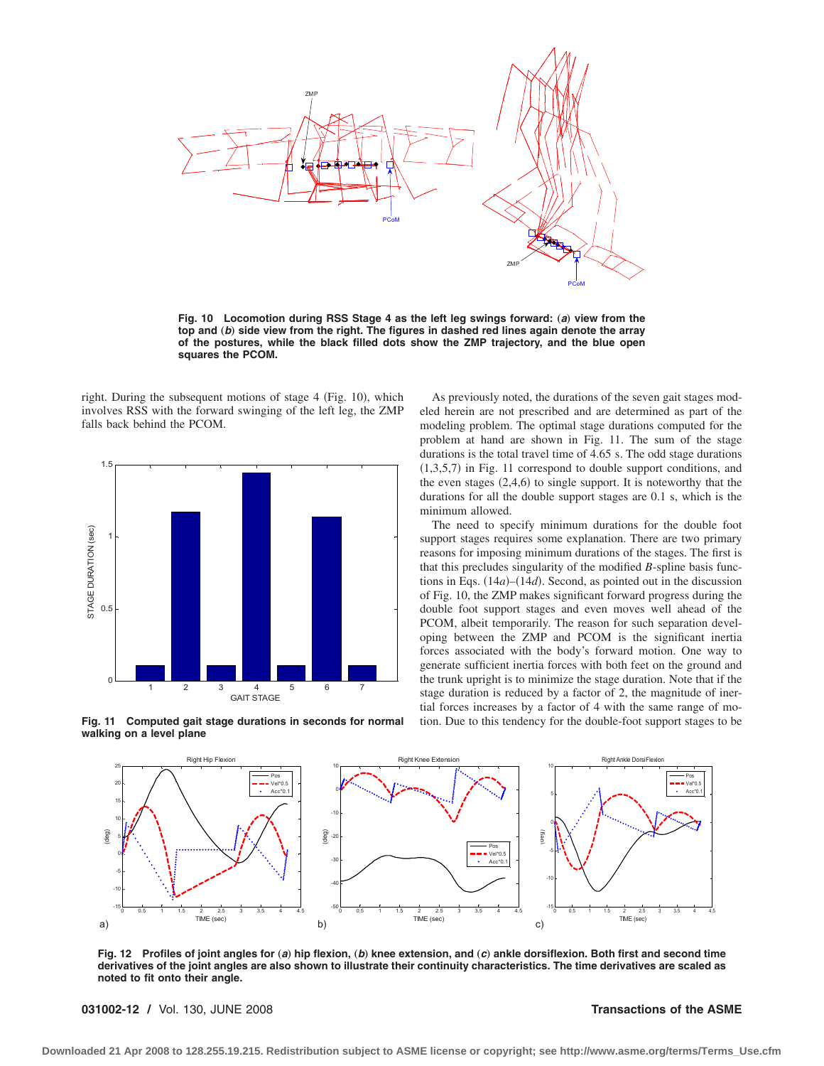

Fig. 10 Locomotion during RSS Stage 4 as the left leg swings forward: (a) view from the top and (b) side view from the right. The figures in dashed red lines again denote the array **of the postures, while the black filled dots show the ZMP trajectory, and the blue open squares the PCOM.**

right. During the subsequent motions of stage 4 (Fig. 10), which involves RSS with the forward swinging of the left leg, the ZMP falls back behind the PCOM.



**Fig. 11 Computed gait stage durations in seconds for normal walking on a level plane**

As previously noted, the durations of the seven gait stages modeled herein are not prescribed and are determined as part of the modeling problem. The optimal stage durations computed for the problem at hand are shown in Fig. 11. The sum of the stage durations is the total travel time of 4.65 s. The odd stage durations 1,3,5,7 in Fig. 11 correspond to double support conditions, and the even stages  $(2,4,6)$  to single support. It is noteworthy that the durations for all the double support stages are 0.1 s, which is the minimum allowed.

The need to specify minimum durations for the double foot support stages requires some explanation. There are two primary reasons for imposing minimum durations of the stages. The first is that this precludes singularity of the modified *B*-spline basis functions in Eqs.  $(14a)$ – $(14d)$ . Second, as pointed out in the discussion of Fig. 10, the ZMP makes significant forward progress during the double foot support stages and even moves well ahead of the PCOM, albeit temporarily. The reason for such separation developing between the ZMP and PCOM is the significant inertia forces associated with the body's forward motion. One way to generate sufficient inertia forces with both feet on the ground and the trunk upright is to minimize the stage duration. Note that if the stage duration is reduced by a factor of 2, the magnitude of inertial forces increases by a factor of 4 with the same range of motion. Due to this tendency for the double-foot support stages to be



Fig. 12 Profiles of joint angles for (a) hip flexion, (b) knee extension, and (c) ankle dorsiflexion. Both first and second time **derivatives of the joint angles are also shown to illustrate their continuity characteristics. The time derivatives are scaled as noted to fit onto their angle.**

**031002-12 /** Vol. 130, JUNE 2008 **Transactions of the ASME**

**Downloaded 21 Apr 2008 to 128.255.19.215. Redistribution subject to ASME license or copyright; see http://www.asme.org/terms/Terms\_Use.cfm**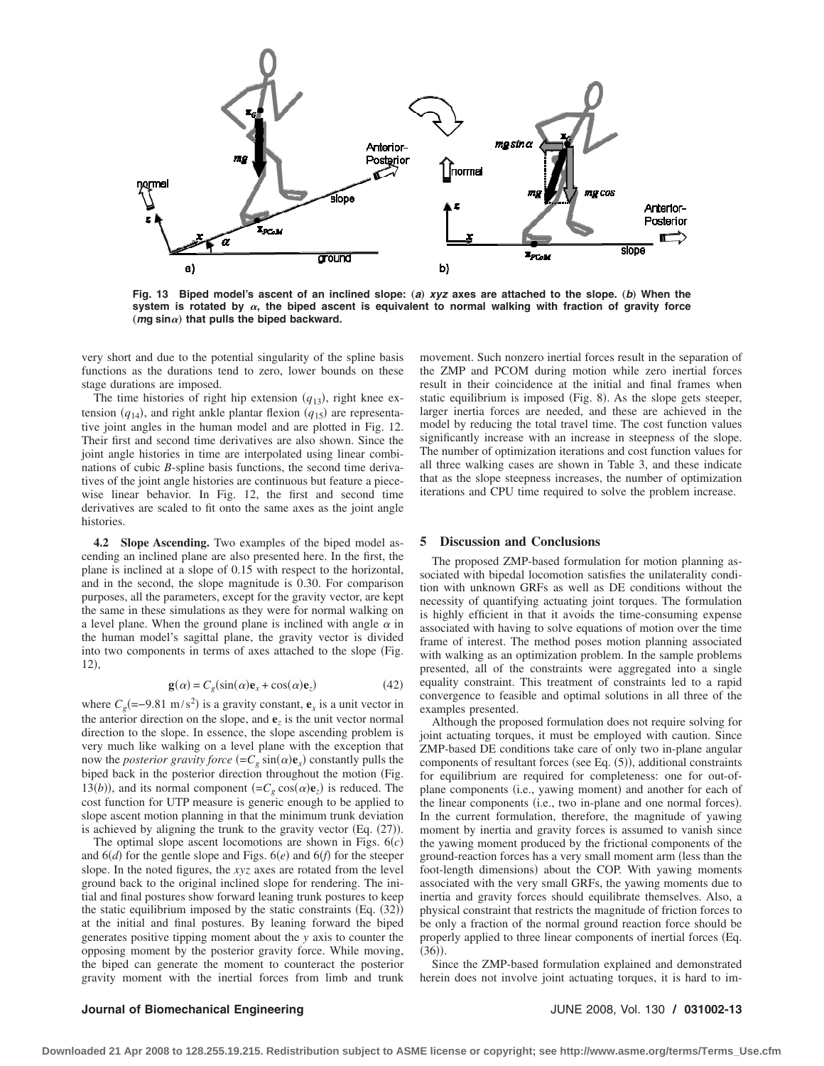

**Fig. 13 Biped model's ascent of an inclined slope:** (a) xyz axes are attached to the slope. (b) When the system is rotated by  $\alpha$ , the biped ascent is equivalent to normal walking with fraction of gravity force  $(mg \sin \alpha)$  that pulls the biped backward.

very short and due to the potential singularity of the spline basis functions as the durations tend to zero, lower bounds on these stage durations are imposed.

The time histories of right hip extension  $(q_{13})$ , right knee extension  $(q_{14})$ , and right ankle plantar flexion  $(q_{15})$  are representative joint angles in the human model and are plotted in Fig. 12. Their first and second time derivatives are also shown. Since the joint angle histories in time are interpolated using linear combinations of cubic *B*-spline basis functions, the second time derivatives of the joint angle histories are continuous but feature a piecewise linear behavior. In Fig. 12, the first and second time derivatives are scaled to fit onto the same axes as the joint angle histories.

**4.2 Slope Ascending.** Two examples of the biped model ascending an inclined plane are also presented here. In the first, the plane is inclined at a slope of 0.15 with respect to the horizontal, and in the second, the slope magnitude is 0.30. For comparison purposes, all the parameters, except for the gravity vector, are kept the same in these simulations as they were for normal walking on a level plane. When the ground plane is inclined with angle  $\alpha$  in the human model's sagittal plane, the gravity vector is divided into two components in terms of axes attached to the slope (Fig. 12,

$$
\mathbf{g}(\alpha) = C_g(\sin(\alpha)\mathbf{e}_x + \cos(\alpha)\mathbf{e}_z)
$$
 (42)

where  $C_g$ (=−9.81 m/s<sup>2</sup>) is a gravity constant,  $\mathbf{e}_x$  is a unit vector in the anterior direction on the slope, and  $\mathbf{e}_z$  is the unit vector normal direction to the slope. In essence, the slope ascending problem is very much like walking on a level plane with the exception that now the *posterior gravity force*  $(=C_g \sin(\alpha) \mathbf{e}_x)$  constantly pulls the biped back in the posterior direction throughout the motion (Fig. 13(b)), and its normal component  $(=C_g \cos(\alpha) \mathbf{e}_z)$  is reduced. The cost function for UTP measure is generic enough to be applied to slope ascent motion planning in that the minimum trunk deviation is achieved by aligning the trunk to the gravity vector  $(Eq. (27))$ .

The optimal slope ascent locomotions are shown in Figs.  $6(c)$ and  $6(d)$  for the gentle slope and Figs.  $6(e)$  and  $6(f)$  for the steeper slope. In the noted figures, the *xyz* axes are rotated from the level ground back to the original inclined slope for rendering. The initial and final postures show forward leaning trunk postures to keep the static equilibrium imposed by the static constraints  $(Eq. (32))$ at the initial and final postures. By leaning forward the biped generates positive tipping moment about the *y* axis to counter the opposing moment by the posterior gravity force. While moving, the biped can generate the moment to counteract the posterior gravity moment with the inertial forces from limb and trunk movement. Such nonzero inertial forces result in the separation of the ZMP and PCOM during motion while zero inertial forces result in their coincidence at the initial and final frames when static equilibrium is imposed (Fig. 8). As the slope gets steeper, larger inertia forces are needed, and these are achieved in the model by reducing the total travel time. The cost function values significantly increase with an increase in steepness of the slope. The number of optimization iterations and cost function values for all three walking cases are shown in Table 3, and these indicate that as the slope steepness increases, the number of optimization iterations and CPU time required to solve the problem increase.

### **5 Discussion and Conclusions**

The proposed ZMP-based formulation for motion planning associated with bipedal locomotion satisfies the unilaterality condition with unknown GRFs as well as DE conditions without the necessity of quantifying actuating joint torques. The formulation is highly efficient in that it avoids the time-consuming expense associated with having to solve equations of motion over the time frame of interest. The method poses motion planning associated with walking as an optimization problem. In the sample problems presented, all of the constraints were aggregated into a single equality constraint. This treatment of constraints led to a rapid convergence to feasible and optimal solutions in all three of the examples presented.

Although the proposed formulation does not require solving for joint actuating torques, it must be employed with caution. Since ZMP-based DE conditions take care of only two in-plane angular components of resultant forces (see Eq.  $(5)$ ), additional constraints for equilibrium are required for completeness: one for out-ofplane components (i.e., yawing moment) and another for each of the linear components (i.e., two in-plane and one normal forces). In the current formulation, therefore, the magnitude of yawing moment by inertia and gravity forces is assumed to vanish since the yawing moment produced by the frictional components of the ground-reaction forces has a very small moment arm (less than the foot-length dimensions) about the COP. With yawing moments associated with the very small GRFs, the yawing moments due to inertia and gravity forces should equilibrate themselves. Also, a physical constraint that restricts the magnitude of friction forces to be only a fraction of the normal ground reaction force should be properly applied to three linear components of inertial forces (Eq.  $(36)$ .

Since the ZMP-based formulation explained and demonstrated herein does not involve joint actuating torques, it is hard to im-